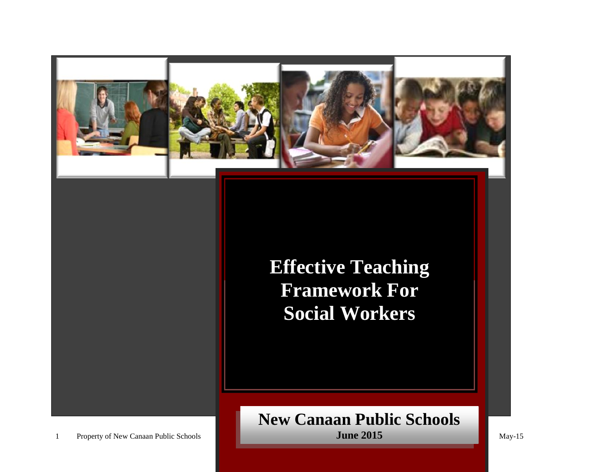

# **Effective Teaching Framework For Social Workers**

## **New Canaan Public Schools June 2015**

1 Property of New Canaan Public Schools May-15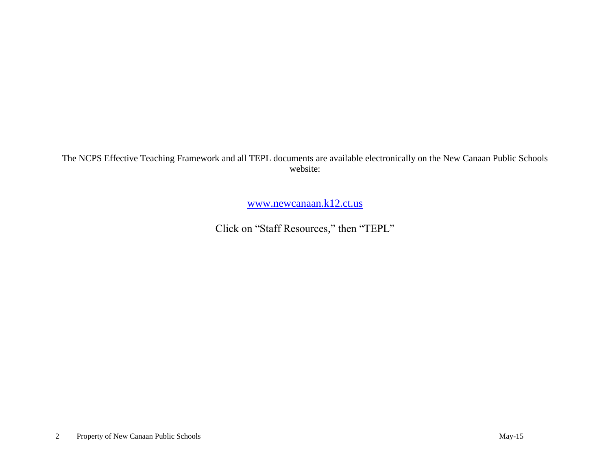The NCPS Effective Teaching Framework and all TEPL documents are available electronically on the New Canaan Public Schools website:

[www.newcanaan.k12.ct.us](http://www.newcanaan.k12.ct.us/)

Click on "Staff Resources," then "TEPL"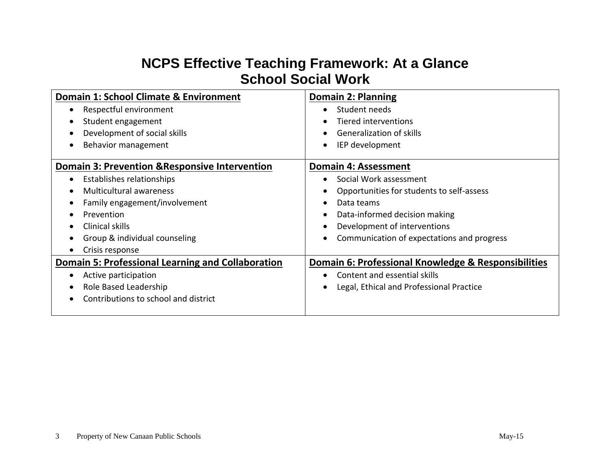# **NCPS Effective Teaching Framework: At a Glance School Social Work**

| Domain 1: School Climate & Environment                    | <b>Domain 2: Planning</b>                           |
|-----------------------------------------------------------|-----------------------------------------------------|
| Respectful environment                                    | Student needs<br>$\bullet$                          |
| Student engagement                                        | Tiered interventions<br>$\bullet$                   |
| Development of social skills                              | Generalization of skills                            |
| Behavior management                                       | IEP development<br>$\bullet$                        |
| <b>Domain 3: Prevention &amp; Responsive Intervention</b> | Domain 4: Assessment                                |
| Establishes relationships                                 | Social Work assessment                              |
| <b>Multicultural awareness</b>                            | Opportunities for students to self-assess           |
| Family engagement/involvement                             | Data teams<br>$\bullet$                             |
| Prevention                                                | Data-informed decision making<br>$\bullet$          |
| Clinical skills                                           | Development of interventions<br>$\bullet$           |
| Group & individual counseling                             | Communication of expectations and progress          |
| Crisis response                                           |                                                     |
| <b>Domain 5: Professional Learning and Collaboration</b>  | Domain 6: Professional Knowledge & Responsibilities |
| Active participation                                      | Content and essential skills                        |
| Role Based Leadership                                     | Legal, Ethical and Professional Practice            |
| Contributions to school and district                      |                                                     |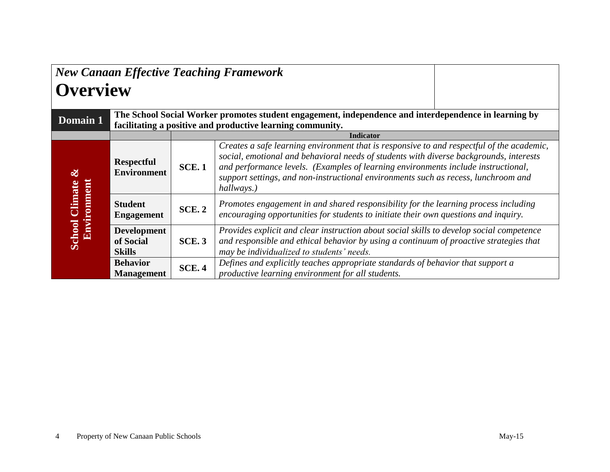| <b>Overview</b>                             |                                                  |                                                                                                                                                                                                                                                                                                                                                                                              | <b>New Canaan Effective Teaching Framework</b>                                                                                                                                                                                  |  |
|---------------------------------------------|--------------------------------------------------|----------------------------------------------------------------------------------------------------------------------------------------------------------------------------------------------------------------------------------------------------------------------------------------------------------------------------------------------------------------------------------------------|---------------------------------------------------------------------------------------------------------------------------------------------------------------------------------------------------------------------------------|--|
| Domain 1                                    |                                                  |                                                                                                                                                                                                                                                                                                                                                                                              | The School Social Worker promotes student engagement, independence and interdependence in learning by<br>facilitating a positive and productive learning community.                                                             |  |
|                                             |                                                  |                                                                                                                                                                                                                                                                                                                                                                                              | <b>Indicator</b>                                                                                                                                                                                                                |  |
| $\infty$                                    | <b>Respectful</b><br><b>Environment</b>          | Creates a safe learning environment that is responsive to and respectful of the academic,<br>social, emotional and behavioral needs of students with diverse backgrounds, interests<br>and performance levels. (Examples of learning environments include instructional,<br><b>SCE.1</b><br>support settings, and non-instructional environments such as recess, lunchroom and<br>hallways.) |                                                                                                                                                                                                                                 |  |
| <b>Environment</b><br><b>School Climate</b> | <b>Student</b><br><b>Engagement</b>              | Promotes engagement in and shared responsibility for the learning process including<br><b>SCE. 2</b><br>encouraging opportunities for students to initiate their own questions and inquiry.                                                                                                                                                                                                  |                                                                                                                                                                                                                                 |  |
|                                             | <b>Development</b><br>of Social<br><b>Skills</b> | <b>SCE.3</b>                                                                                                                                                                                                                                                                                                                                                                                 | Provides explicit and clear instruction about social skills to develop social competence<br>and responsible and ethical behavior by using a continuum of proactive strategies that<br>may be individualized to students' needs. |  |
|                                             | <b>Behavior</b><br><b>Management</b>             | <b>SCE.4</b>                                                                                                                                                                                                                                                                                                                                                                                 | Defines and explicitly teaches appropriate standards of behavior that support a<br>productive learning environment for all students.                                                                                            |  |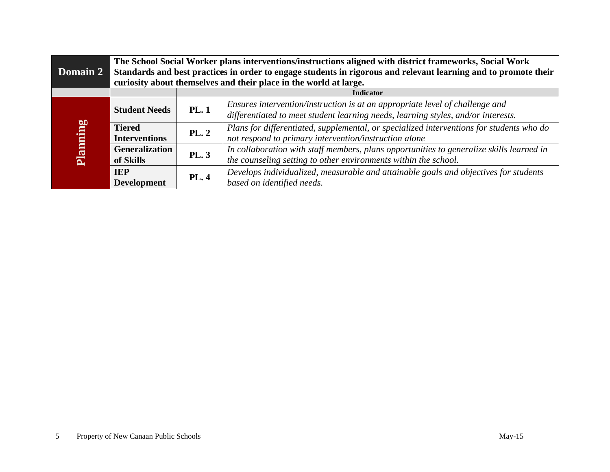|                 | The School Social Worker plans interventions/instructions aligned with district frameworks, Social Work                                                                              |                  |                                                                                                                                                                   |  |
|-----------------|--------------------------------------------------------------------------------------------------------------------------------------------------------------------------------------|------------------|-------------------------------------------------------------------------------------------------------------------------------------------------------------------|--|
| <b>Domain 2</b> | Standards and best practices in order to engage students in rigorous and relevant learning and to promote their<br>curiosity about themselves and their place in the world at large. |                  |                                                                                                                                                                   |  |
|                 |                                                                                                                                                                                      | <b>Indicator</b> |                                                                                                                                                                   |  |
|                 | <b>Student Needs</b>                                                                                                                                                                 | <b>PL.1</b>      | Ensures intervention/instruction is at an appropriate level of challenge and<br>differentiated to meet student learning needs, learning styles, and/or interests. |  |
| Planning        | <b>Tiered</b><br><b>Interventions</b>                                                                                                                                                | PL.2             | Plans for differentiated, supplemental, or specialized interventions for students who do<br>not respond to primary intervention/instruction alone                 |  |
|                 | <b>Generalization</b><br>of Skills                                                                                                                                                   | <b>PL.3</b>      | In collaboration with staff members, plans opportunities to generalize skills learned in<br>the counseling setting to other environments within the school.       |  |
|                 | <b>IEP</b><br><b>Development</b>                                                                                                                                                     | <b>PL.4</b>      | Develops individualized, measurable and attainable goals and objectives for students<br>based on identified needs.                                                |  |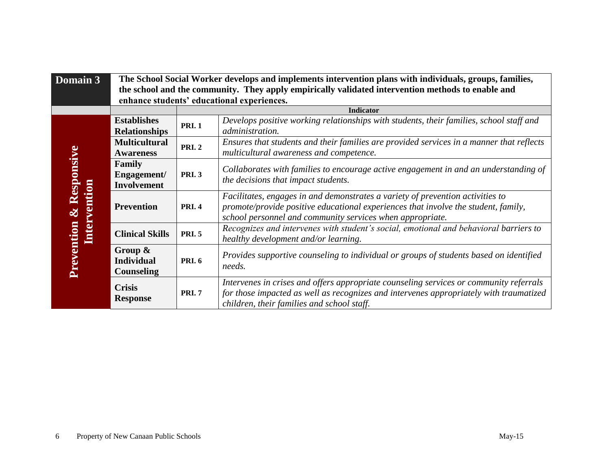| Domain 3     | The School Social Worker develops and implements intervention plans with individuals, groups, families, |                                            |                                                                                                                                                                                                                                   |  |  |
|--------------|---------------------------------------------------------------------------------------------------------|--------------------------------------------|-----------------------------------------------------------------------------------------------------------------------------------------------------------------------------------------------------------------------------------|--|--|
|              | the school and the community. They apply empirically validated intervention methods to enable and       |                                            |                                                                                                                                                                                                                                   |  |  |
|              |                                                                                                         | enhance students' educational experiences. |                                                                                                                                                                                                                                   |  |  |
|              |                                                                                                         |                                            | <b>Indicator</b>                                                                                                                                                                                                                  |  |  |
|              | <b>Establishes</b>                                                                                      | <b>PRI.1</b>                               | Develops positive working relationships with students, their families, school staff and                                                                                                                                           |  |  |
|              | <b>Relationships</b>                                                                                    |                                            | administration.                                                                                                                                                                                                                   |  |  |
|              | <b>Multicultural</b>                                                                                    | <b>PRI.2</b>                               | Ensures that students and their families are provided services in a manner that reflects                                                                                                                                          |  |  |
|              | <b>Awareness</b>                                                                                        |                                            | multicultural awareness and competence.                                                                                                                                                                                           |  |  |
| & Responsive | Family<br>Engagement/<br><b>Involvement</b>                                                             | <b>PRI.3</b>                               | Collaborates with families to encourage active engagement in and an understanding of<br>the decisions that impact students.                                                                                                       |  |  |
| Intervention | <b>Prevention</b>                                                                                       | <b>PRI. 4</b>                              | Facilitates, engages in and demonstrates a variety of prevention activities to<br>promote/provide positive educational experiences that involve the student, family,<br>school personnel and community services when appropriate. |  |  |
|              | <b>Clinical Skills</b>                                                                                  | <b>PRI.5</b>                               | Recognizes and intervenes with student's social, emotional and behavioral barriers to<br>healthy development and/or learning.                                                                                                     |  |  |
| Prevention   | Group $\&$<br><b>Individual</b><br><b>Counseling</b>                                                    | <b>PRI. 6</b>                              | Provides supportive counseling to individual or groups of students based on identified<br>needs.                                                                                                                                  |  |  |
|              | <b>Crisis</b><br><b>Response</b>                                                                        | <b>PRI.7</b>                               | Intervenes in crises and offers appropriate counseling services or community referrals<br>for those impacted as well as recognizes and intervenes appropriately with traumatized<br>children, their families and school staff.    |  |  |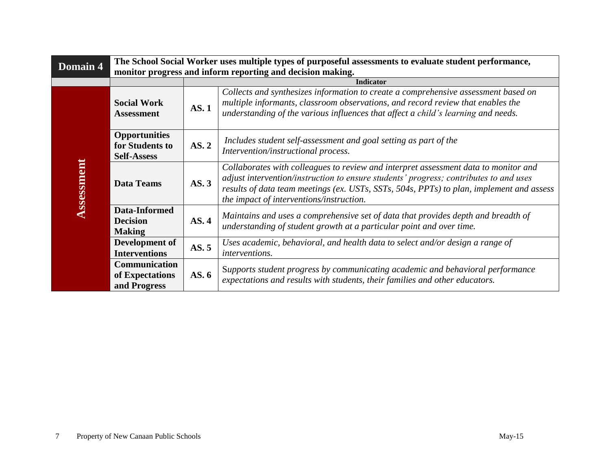| Domain 4   | The School Social Worker uses multiple types of purposeful assessments to evaluate student performance,<br>monitor progress and inform reporting and decision making. |             |                                                                                                                                                                                                                                                                                                                      |  |  |
|------------|-----------------------------------------------------------------------------------------------------------------------------------------------------------------------|-------------|----------------------------------------------------------------------------------------------------------------------------------------------------------------------------------------------------------------------------------------------------------------------------------------------------------------------|--|--|
|            |                                                                                                                                                                       |             | <b>Indicator</b>                                                                                                                                                                                                                                                                                                     |  |  |
|            | <b>Social Work</b><br><b>Assessment</b>                                                                                                                               | <b>AS.1</b> | Collects and synthesizes information to create a comprehensive assessment based on<br>multiple informants, classroom observations, and record review that enables the<br>understanding of the various influences that affect a child's learning and needs.                                                           |  |  |
|            | <b>Opportunities</b><br>for Students to<br><b>Self-Assess</b>                                                                                                         | AS. 2       | Includes student self-assessment and goal setting as part of the<br>Intervention/instructional process.                                                                                                                                                                                                              |  |  |
| Assessment | <b>Data Teams</b>                                                                                                                                                     | AS.3        | Collaborates with colleagues to review and interpret assessment data to monitor and<br>adjust intervention/instruction to ensure students' progress; contributes to and uses<br>results of data team meetings (ex. USTs, SSTs, 504s, PPTs) to plan, implement and assess<br>the impact of interventions/instruction. |  |  |
|            | Data-Informed<br><b>Decision</b><br><b>Making</b>                                                                                                                     | AS.4        | Maintains and uses a comprehensive set of data that provides depth and breadth of<br>understanding of student growth at a particular point and over time.                                                                                                                                                            |  |  |
|            | Development of<br><b>Interventions</b>                                                                                                                                | AS.5        | Uses academic, behavioral, and health data to select and/or design a range of<br>interventions.                                                                                                                                                                                                                      |  |  |
|            | <b>Communication</b><br>of Expectations<br>and Progress                                                                                                               | AS.6        | Supports student progress by communicating academic and behavioral performance<br>expectations and results with students, their families and other educators.                                                                                                                                                        |  |  |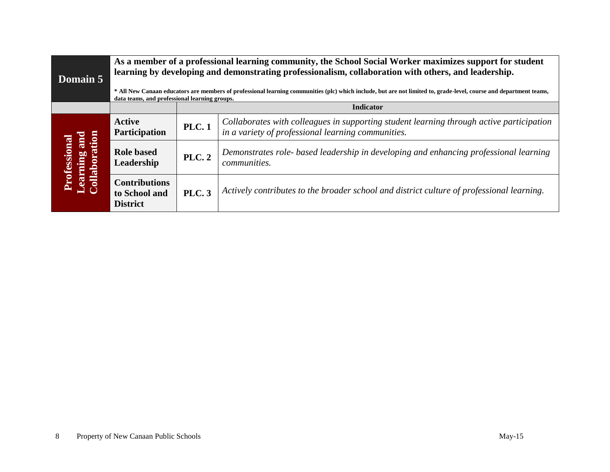| Domain 5                                             | As a member of a professional learning community, the School Social Worker maximizes support for student<br>learning by developing and demonstrating professionalism, collaboration with others, and leadership.<br>* All New Canaan educators are members of professional learning communities (plc) which include, but are not limited to, grade-level, course and department teams,<br>data teams, and professional learning groups. |                  |                                                                                                                                                |  |
|------------------------------------------------------|-----------------------------------------------------------------------------------------------------------------------------------------------------------------------------------------------------------------------------------------------------------------------------------------------------------------------------------------------------------------------------------------------------------------------------------------|------------------|------------------------------------------------------------------------------------------------------------------------------------------------|--|
|                                                      |                                                                                                                                                                                                                                                                                                                                                                                                                                         | <b>Indicator</b> |                                                                                                                                                |  |
|                                                      | <b>Active</b><br><b>Participation</b>                                                                                                                                                                                                                                                                                                                                                                                                   | <b>PLC.1</b>     | Collaborates with colleagues in supporting student learning through active participation<br>in a variety of professional learning communities. |  |
| <b>Learning and</b><br>Collaboration<br>Professional | <b>Role based</b><br>Leadership                                                                                                                                                                                                                                                                                                                                                                                                         | <b>PLC. 2</b>    | Demonstrates role- based leadership in developing and enhancing professional learning<br>communities.                                          |  |
|                                                      | <b>Contributions</b><br>to School and<br><b>District</b>                                                                                                                                                                                                                                                                                                                                                                                | <b>PLC.</b> 3    | Actively contributes to the broader school and district culture of professional learning.                                                      |  |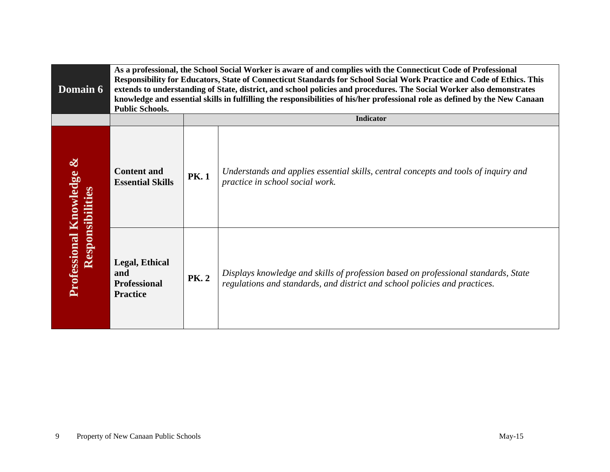| <b>Domain 6</b>                                     | As a professional, the School Social Worker is aware of and complies with the Connecticut Code of Professional<br>Responsibility for Educators, State of Connecticut Standards for School Social Work Practice and Code of Ethics. This<br>extends to understanding of State, district, and school policies and procedures. The Social Worker also demonstrates<br>knowledge and essential skills in fulfilling the responsibilities of his/her professional role as defined by the New Canaan<br><b>Public Schools.</b> |             |                                                                                                                                                                  |
|-----------------------------------------------------|--------------------------------------------------------------------------------------------------------------------------------------------------------------------------------------------------------------------------------------------------------------------------------------------------------------------------------------------------------------------------------------------------------------------------------------------------------------------------------------------------------------------------|-------------|------------------------------------------------------------------------------------------------------------------------------------------------------------------|
|                                                     |                                                                                                                                                                                                                                                                                                                                                                                                                                                                                                                          |             | <b>Indicator</b>                                                                                                                                                 |
| Professional Knowledge &<br><b>Responsibilities</b> | <b>Content and</b><br><b>Essential Skills</b>                                                                                                                                                                                                                                                                                                                                                                                                                                                                            | <b>PK.1</b> | Understands and applies essential skills, central concepts and tools of inquiry and<br>practice in school social work.                                           |
|                                                     | <b>Legal, Ethical</b><br>and<br><b>Professional</b><br><b>Practice</b>                                                                                                                                                                                                                                                                                                                                                                                                                                                   | <b>PK.2</b> | Displays knowledge and skills of profession based on professional standards, State<br>regulations and standards, and district and school policies and practices. |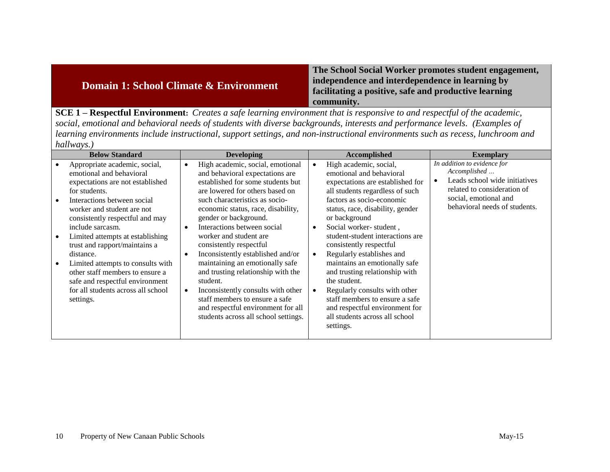| Domain 1: School Climate & Environment                                                                                           | The School Social Worker promotes student engagement,<br>independence and interdependence in learning by<br>facilitating a positive, safe and productive learning<br>community. |
|----------------------------------------------------------------------------------------------------------------------------------|---------------------------------------------------------------------------------------------------------------------------------------------------------------------------------|
| <b>SCE 1 – Respectful Environment:</b> Creates a safe learning environment that is responsive to and respectful of the academic, |                                                                                                                                                                                 |

*social, emotional and behavioral needs of students with diverse backgrounds, interests and performance levels. (Examples of learning environments include instructional, support settings, and non-instructional environments such as recess, lunchroom and hallways.)*

| <b>Below Standard</b>                                                                                                                                                                                                                                                                                                                                                                                                                                                              | <b>Developing</b>                                                                                                                                                                                                                                                                                                                                                                                                                                                                                                                                                                                                 | Accomplished                                                                                                                                                                                                                                                                                                                                                                                                                                                                                                                                                                                                    | <b>Exemplary</b>                                                                                                                                                      |
|------------------------------------------------------------------------------------------------------------------------------------------------------------------------------------------------------------------------------------------------------------------------------------------------------------------------------------------------------------------------------------------------------------------------------------------------------------------------------------|-------------------------------------------------------------------------------------------------------------------------------------------------------------------------------------------------------------------------------------------------------------------------------------------------------------------------------------------------------------------------------------------------------------------------------------------------------------------------------------------------------------------------------------------------------------------------------------------------------------------|-----------------------------------------------------------------------------------------------------------------------------------------------------------------------------------------------------------------------------------------------------------------------------------------------------------------------------------------------------------------------------------------------------------------------------------------------------------------------------------------------------------------------------------------------------------------------------------------------------------------|-----------------------------------------------------------------------------------------------------------------------------------------------------------------------|
| Appropriate academic, social,<br>emotional and behavioral<br>expectations are not established<br>for students.<br>Interactions between social<br>worker and student are not<br>consistently respectful and may<br>include sarcasm.<br>Limited attempts at establishing<br>trust and rapport/maintains a<br>distance.<br>Limited attempts to consults with<br>other staff members to ensure a<br>safe and respectful environment<br>for all students across all school<br>settings. | High academic, social, emotional<br>and behavioral expectations are<br>established for some students but<br>are lowered for others based on<br>such characteristics as socio-<br>economic status, race, disability,<br>gender or background.<br>Interactions between social<br>worker and student are.<br>consistently respectful<br>Inconsistently established and/or<br>maintaining an emotionally safe<br>and trusting relationship with the<br>student.<br>Inconsistently consults with other<br>staff members to ensure a safe<br>and respectful environment for all<br>students across all school settings. | High academic, social,<br>$\bullet$<br>emotional and behavioral<br>expectations are established for<br>all students regardless of such<br>factors as socio-economic<br>status, race, disability, gender<br>or background<br>Social worker-student,<br>$\bullet$<br>student-student interactions are<br>consistently respectful<br>Regularly establishes and<br>$\bullet$<br>maintains an emotionally safe<br>and trusting relationship with<br>the student.<br>Regularly consults with other<br>staff members to ensure a safe<br>and respectful environment for<br>all students across all school<br>settings. | In addition to evidence for<br>Accomplished<br>Leads school wide initiatives<br>related to consideration of<br>social, emotional and<br>behavioral needs of students. |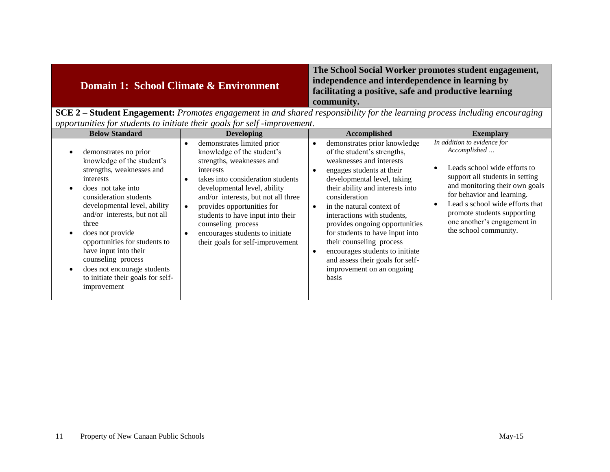| Domain 1: School Climate & Environment | The School Social Worker promotes student engagement,<br>independence and interdependence in learning by<br>facilitating a positive, safe and productive learning<br>community. |
|----------------------------------------|---------------------------------------------------------------------------------------------------------------------------------------------------------------------------------|
| CCD2                                   | <b>Student Engagement:</b> Dremates engagement in and shared responsibility for the learning process including encouraging                                                      |

**SCE 2 – Student Engagement:** *Promotes engagement in and shared responsibility for the learning process including encouraging opportunities for students to initiate their goals for self -improvement.*

| <b>Below Standard</b>                                                                                                                                                                                                                                                                                                                                                                                                       | <b>Developing</b>                                                                                                                                                                                                                                                                                                                                                                                        | <b>Accomplished</b>                                                                                                                                                                                                                                                                                                                                                                                                                                                                | <b>Exemplary</b>                                                                                                                                                                                                                                                                                                      |
|-----------------------------------------------------------------------------------------------------------------------------------------------------------------------------------------------------------------------------------------------------------------------------------------------------------------------------------------------------------------------------------------------------------------------------|----------------------------------------------------------------------------------------------------------------------------------------------------------------------------------------------------------------------------------------------------------------------------------------------------------------------------------------------------------------------------------------------------------|------------------------------------------------------------------------------------------------------------------------------------------------------------------------------------------------------------------------------------------------------------------------------------------------------------------------------------------------------------------------------------------------------------------------------------------------------------------------------------|-----------------------------------------------------------------------------------------------------------------------------------------------------------------------------------------------------------------------------------------------------------------------------------------------------------------------|
| demonstrates no prior<br>knowledge of the student's<br>strengths, weaknesses and<br>interests<br>does not take into<br>consideration students<br>developmental level, ability<br>and/or interests, but not all<br>three<br>does not provide<br>opportunities for students to<br>have input into their<br>counseling process<br>does not encourage students<br>$\bullet$<br>to initiate their goals for self-<br>improvement | demonstrates limited prior<br>$\bullet$<br>knowledge of the student's<br>strengths, weaknesses and<br>interests<br>takes into consideration students<br>$\bullet$<br>developmental level, ability<br>and/or interests, but not all three<br>provides opportunities for<br>students to have input into their<br>counseling process<br>encourages students to initiate<br>their goals for self-improvement | demonstrates prior knowledge<br>of the student's strengths,<br>weaknesses and interests<br>engages students at their<br>developmental level, taking<br>their ability and interests into<br>consideration<br>in the natural context of<br>interactions with students,<br>provides ongoing opportunities<br>for students to have input into<br>their counseling process<br>encourages students to initiate<br>and assess their goals for self-<br>improvement on an ongoing<br>basis | In addition to evidence for<br>Accomplished<br>Leads school wide efforts to<br>$\bullet$<br>support all students in setting<br>and monitoring their own goals<br>for behavior and learning.<br>Lead s school wide efforts that<br>promote students supporting<br>one another's engagement in<br>the school community. |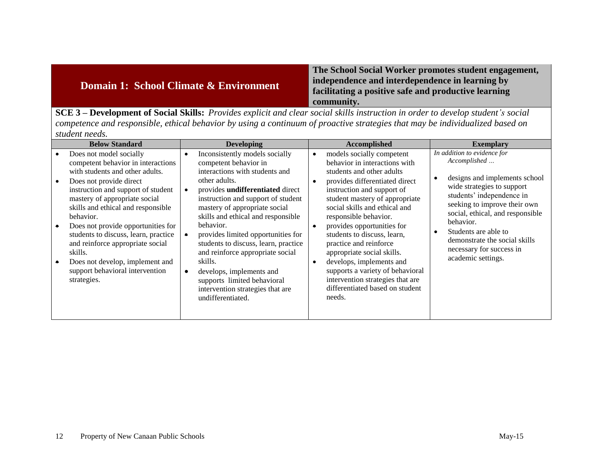| <b>Domain 1: School Climate &amp; Environment</b>                                                                                               | The School Social Worker promotes student engagement,<br>independence and interdependence in learning by<br>facilitating a positive safe and productive learning<br>community. |
|-------------------------------------------------------------------------------------------------------------------------------------------------|--------------------------------------------------------------------------------------------------------------------------------------------------------------------------------|
| $\text{SCF3}$ – Development of Social Skills: <i>Provides explicit and clear social skills instruction in order to develop student's social</i> |                                                                                                                                                                                |

**SCE 3 – Development of Social Skills:** *Provides explicit and clear social skills instruction in order to develop student's social competence and responsible, ethical behavior by using a continuum of proactive strategies that may be individualized based on student needs.*

| <b>Below Standard</b>                                                                                                                                                                                                                                                                                                                                                                                                                                                                             | <b>Developing</b>                                                                                                                                                                                                                                                                                                                                                                                                                                                                                                                                                | <b>Accomplished</b>                                                                                                                                                                                                                                                                                                                                                                                                                                                                                                                                              | <b>Exemplary</b>                                                                                                                                                                                                                                                                                                                    |
|---------------------------------------------------------------------------------------------------------------------------------------------------------------------------------------------------------------------------------------------------------------------------------------------------------------------------------------------------------------------------------------------------------------------------------------------------------------------------------------------------|------------------------------------------------------------------------------------------------------------------------------------------------------------------------------------------------------------------------------------------------------------------------------------------------------------------------------------------------------------------------------------------------------------------------------------------------------------------------------------------------------------------------------------------------------------------|------------------------------------------------------------------------------------------------------------------------------------------------------------------------------------------------------------------------------------------------------------------------------------------------------------------------------------------------------------------------------------------------------------------------------------------------------------------------------------------------------------------------------------------------------------------|-------------------------------------------------------------------------------------------------------------------------------------------------------------------------------------------------------------------------------------------------------------------------------------------------------------------------------------|
| Does not model socially<br>competent behavior in interactions<br>with students and other adults.<br>Does not provide direct<br>instruction and support of student<br>mastery of appropriate social<br>skills and ethical and responsible<br>behavior.<br>Does not provide opportunities for<br>$\bullet$<br>students to discuss, learn, practice<br>and reinforce appropriate social<br>skills.<br>Does not develop, implement and<br>$\bullet$<br>support behavioral intervention<br>strategies. | Inconsistently models socially<br>competent behavior in<br>interactions with students and<br>other adults.<br>provides undifferentiated direct<br>$\bullet$<br>instruction and support of student<br>mastery of appropriate social<br>skills and ethical and responsible<br>behavior.<br>provides limited opportunities for<br>$\bullet$<br>students to discuss, learn, practice<br>and reinforce appropriate social<br>skills.<br>develops, implements and<br>$\bullet$<br>supports limited behavioral<br>intervention strategies that are<br>undifferentiated. | models socially competent<br>$\bullet$<br>behavior in interactions with<br>students and other adults<br>provides differentiated direct<br>instruction and support of<br>student mastery of appropriate<br>social skills and ethical and<br>responsible behavior.<br>provides opportunities for<br>$\bullet$<br>students to discuss, learn,<br>practice and reinforce<br>appropriate social skills.<br>develops, implements and<br>$\bullet$<br>supports a variety of behavioral<br>intervention strategies that are<br>differentiated based on student<br>needs. | In addition to evidence for<br>Accomplished<br>designs and implements school<br>wide strategies to support<br>students' independence in<br>seeking to improve their own<br>social, ethical, and responsible<br>behavior.<br>Students are able to<br>demonstrate the social skills<br>necessary for success in<br>academic settings. |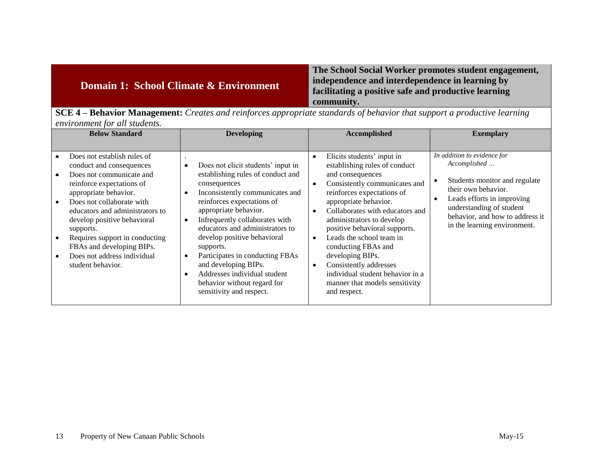| Domain 1: School Climate & Environment                                                                                                 | The School Social Worker promotes student engagement,<br>independence and interdependence in learning by<br>facilitating a positive safe and productive learning<br>community. |
|----------------------------------------------------------------------------------------------------------------------------------------|--------------------------------------------------------------------------------------------------------------------------------------------------------------------------------|
| $C\Gamma A$<br><b>Reparier Monogoment:</b> Creates and rejularees appropriate standards of behavior that support a productive learning |                                                                                                                                                                                |

**SCE 4 – Behavior Management:** *Creates and reinforces appropriate standards of behavior that support a productive learning environment for all students.*

| <b>Below Standard</b>                                                                                                                                                                                                                                                                                                                                                    | <b>Developing</b>                                                                                                                                                                                                                                                                                                                                                                                                                                                                               | Accomplished                                                                                                                                                                                                                                                                                                                                                                                                                                                                                                                     | <b>Exemplary</b>                                                                                                                                                                                                                      |
|--------------------------------------------------------------------------------------------------------------------------------------------------------------------------------------------------------------------------------------------------------------------------------------------------------------------------------------------------------------------------|-------------------------------------------------------------------------------------------------------------------------------------------------------------------------------------------------------------------------------------------------------------------------------------------------------------------------------------------------------------------------------------------------------------------------------------------------------------------------------------------------|----------------------------------------------------------------------------------------------------------------------------------------------------------------------------------------------------------------------------------------------------------------------------------------------------------------------------------------------------------------------------------------------------------------------------------------------------------------------------------------------------------------------------------|---------------------------------------------------------------------------------------------------------------------------------------------------------------------------------------------------------------------------------------|
|                                                                                                                                                                                                                                                                                                                                                                          |                                                                                                                                                                                                                                                                                                                                                                                                                                                                                                 |                                                                                                                                                                                                                                                                                                                                                                                                                                                                                                                                  |                                                                                                                                                                                                                                       |
| Does not establish rules of<br>conduct and consequences<br>Does not communicate and<br>reinforce expectations of<br>appropriate behavior.<br>Does not collaborate with<br>educators and administrators to<br>develop positive behavioral<br>supports.<br>Requires support in conducting<br>FBAs and developing BIPs.<br>Does not address individual<br>student behavior. | Does not elicit students' input in<br>establishing rules of conduct and<br>consequences<br>Inconsistently communicates and<br>$\bullet$<br>reinforces expectations of<br>appropriate behavior.<br>Infrequently collaborates with<br>$\bullet$<br>educators and administrators to<br>develop positive behavioral<br>supports.<br>Participates in conducting FBAs<br>$\bullet$<br>and developing BIPs.<br>Addresses individual student<br>behavior without regard for<br>sensitivity and respect. | Elicits students' input in<br>$\bullet$<br>establishing rules of conduct<br>and consequences<br>Consistently communicates and<br>$\bullet$<br>reinforces expectations of<br>appropriate behavior.<br>Collaborates with educators and<br>$\bullet$<br>administrators to develop<br>positive behavioral supports.<br>Leads the school team in<br>$\bullet$<br>conducting FBAs and<br>developing BIPs.<br>Consistently addresses<br>$\bullet$<br>individual student behavior in a<br>manner that models sensitivity<br>and respect. | In addition to evidence for<br>Accomplished<br>Students monitor and regulate<br>their own behavior.<br>Leads efforts in improving<br>٠<br>understanding of student<br>behavior, and how to address it<br>in the learning environment. |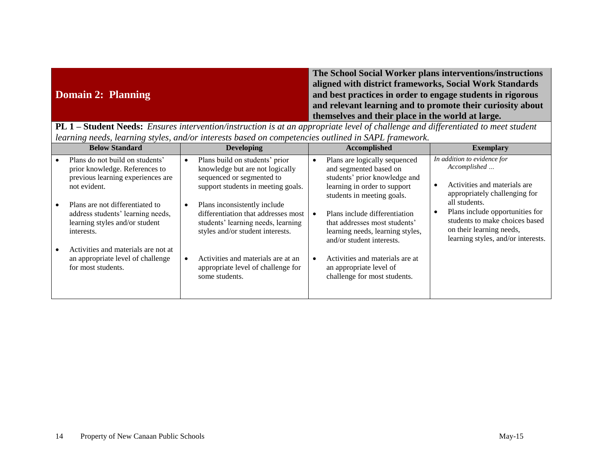|                    | The School Social Worker plans interventions/instructions  |
|--------------------|------------------------------------------------------------|
|                    | aligned with district frameworks, Social Work Standards    |
| Domain 2: Planning | and best practices in order to engage students in rigorous |
|                    | and relevant learning and to promote their curiosity about |
|                    | themselves and their place in the world at large.          |

**PL 1 – Student Needs:** *Ensures intervention/instruction is at an appropriate level of challenge and differentiated to meet student learning needs, learning styles, and/or interests based on competencies outlined in SAPL framework.*

| <b>Below Standard</b>                                                                                                  |           | <b>Developing</b>                                                                                                                             | Accomplished                                                                                                                                           |  | <b>Exemplary</b>                                                                                                                                                                                                                                                     |
|------------------------------------------------------------------------------------------------------------------------|-----------|-----------------------------------------------------------------------------------------------------------------------------------------------|--------------------------------------------------------------------------------------------------------------------------------------------------------|--|----------------------------------------------------------------------------------------------------------------------------------------------------------------------------------------------------------------------------------------------------------------------|
| Plans do not build on students'<br>prior knowledge. References to<br>previous learning experiences are<br>not evident. |           | Plans build on students' prior<br>knowledge but are not logically<br>sequenced or segmented to<br>support students in meeting goals.          | Plans are logically sequenced<br>and segmented based on<br>students' prior knowledge and<br>learning in order to support<br>students in meeting goals. |  | In addition to evidence for<br>Accomplished<br>Activities and materials are<br>appropriately challenging for<br>all students.<br>Plans include opportunities for<br>students to make choices based<br>on their learning needs,<br>learning styles, and/or interests. |
| Plans are not differentiated to<br>address students' learning needs,<br>learning styles and/or student<br>interests.   |           | Plans inconsistently include<br>differentiation that addresses most<br>students' learning needs, learning<br>styles and/or student interests. | Plans include differentiation<br>that addresses most students'<br>learning needs, learning styles,<br>and/or student interests.                        |  |                                                                                                                                                                                                                                                                      |
| Activities and materials are not at<br>an appropriate level of challenge<br>for most students.                         | $\bullet$ | Activities and materials are at an<br>appropriate level of challenge for<br>some students.                                                    | Activities and materials are at<br>an appropriate level of<br>challenge for most students.                                                             |  |                                                                                                                                                                                                                                                                      |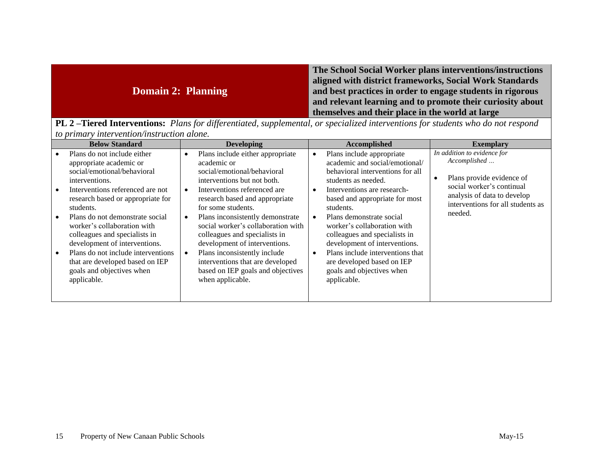|                    | The School Social Worker plans interventions/instructions  |
|--------------------|------------------------------------------------------------|
|                    | aligned with district frameworks, Social Work Standards    |
| Domain 2: Planning | and best practices in order to engage students in rigorous |
|                    | and relevant learning and to promote their curiosity about |
|                    | themselves and their place in the world at large           |

**PL 2 –Tiered Interventions:** *Plans for differentiated, supplemental, or specialized interventions for students who do not respond to primary intervention/instruction alone.*

| <b>Below Standard</b><br><b>Developing</b>                                                                                                                                                                                                                                                                                                                                                                                                                                                                                                                                                                                                                                                                                                                                                                                                                                                                                                                                                    | <b>Accomplished</b>                                                                                                                                                                                                                                                                                                                                                                                                                                                                    | <b>Exemplary</b>                                                                                                                                                                     |
|-----------------------------------------------------------------------------------------------------------------------------------------------------------------------------------------------------------------------------------------------------------------------------------------------------------------------------------------------------------------------------------------------------------------------------------------------------------------------------------------------------------------------------------------------------------------------------------------------------------------------------------------------------------------------------------------------------------------------------------------------------------------------------------------------------------------------------------------------------------------------------------------------------------------------------------------------------------------------------------------------|----------------------------------------------------------------------------------------------------------------------------------------------------------------------------------------------------------------------------------------------------------------------------------------------------------------------------------------------------------------------------------------------------------------------------------------------------------------------------------------|--------------------------------------------------------------------------------------------------------------------------------------------------------------------------------------|
| Plans do not include either<br>Plans include either appropriate<br>$\bullet$<br>appropriate academic or<br>academic or<br>social/emotional/behavioral<br>social/emotional/behavioral<br>interventions but not both.<br>interventions.<br>Interventions referenced are not<br>Interventions referenced are.<br>$\bullet$<br>research based and appropriate<br>research based or appropriate for<br>for some students.<br>students.<br>Plans inconsistently demonstrate<br>Plans do not demonstrate social<br>$\bullet$<br>social worker's collaboration with<br>worker's collaboration with<br>colleagues and specialists in<br>colleagues and specialists in<br>development of interventions.<br>development of interventions.<br>Plans do not include interventions<br>Plans inconsistently include<br>$\bullet$<br>interventions that are developed<br>that are developed based on IEP<br>goals and objectives when<br>based on IEP goals and objectives<br>when applicable.<br>applicable. | Plans include appropriate<br>$\bullet$<br>academic and social/emotional/<br>behavioral interventions for all<br>students as needed.<br>Interventions are research-<br>$\bullet$<br>based and appropriate for most<br>students.<br>Plans demonstrate social<br>worker's collaboration with<br>colleagues and specialists in<br>development of interventions.<br>Plans include interventions that<br>$\bullet$<br>are developed based on IEP<br>goals and objectives when<br>applicable. | In addition to evidence for<br>Accomplished<br>Plans provide evidence of<br>social worker's continual<br>analysis of data to develop<br>interventions for all students as<br>needed. |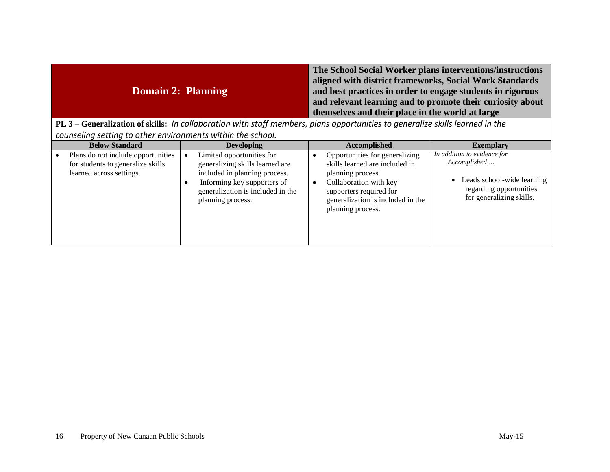| Domain 2: Planning | The School Social Worker plans interventions/instructions<br>aligned with district frameworks, Social Work Standards<br>and best practices in order to engage students in rigorous<br>and relevant learning and to promote their curiosity about<br>themselves and their place in the world at large |
|--------------------|------------------------------------------------------------------------------------------------------------------------------------------------------------------------------------------------------------------------------------------------------------------------------------------------------|
|--------------------|------------------------------------------------------------------------------------------------------------------------------------------------------------------------------------------------------------------------------------------------------------------------------------------------------|

**PL 3 – Generalization of skills:** *In collaboration with staff members, plans opportunities to generalize skills learned in the counseling setting to other environments within the school.*

| <b>Below Standard</b>                                                                               | <b>Developing</b>                                                                                                                                                                      | <b>Accomplished</b>                                                                                                                                                                                  | <b>Exemplary</b>                                                                                                                   |
|-----------------------------------------------------------------------------------------------------|----------------------------------------------------------------------------------------------------------------------------------------------------------------------------------------|------------------------------------------------------------------------------------------------------------------------------------------------------------------------------------------------------|------------------------------------------------------------------------------------------------------------------------------------|
| Plans do not include opportunities<br>for students to generalize skills<br>learned across settings. | Limited opportunities for<br>generalizing skills learned are<br>included in planning process.<br>Informing key supporters of<br>generalization is included in the<br>planning process. | Opportunities for generalizing<br>skills learned are included in<br>planning process.<br>Collaboration with key<br>supporters required for<br>generalization is included in the<br>planning process. | In addition to evidence for<br>Accomplished<br>• Leads school-wide learning<br>regarding opportunities<br>for generalizing skills. |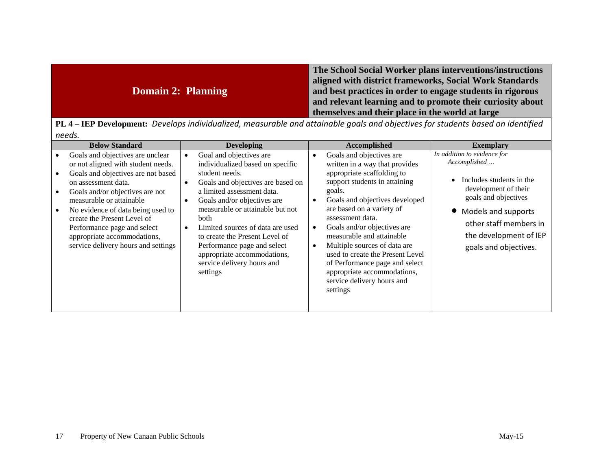| The School Social Worker plans interventions/instructions<br>aligned with district frameworks, Social Work Standards<br><b>Domain 2: Planning</b><br>and best practices in order to engage students in rigorous<br>and relevant learning and to promote their curiosity about<br>themselves and their place in the world at large |
|-----------------------------------------------------------------------------------------------------------------------------------------------------------------------------------------------------------------------------------------------------------------------------------------------------------------------------------|
|-----------------------------------------------------------------------------------------------------------------------------------------------------------------------------------------------------------------------------------------------------------------------------------------------------------------------------------|

**PL 4 – IEP Development:** *Develops individualized, measurable and attainable goals and objectives for students based on identified needs.*

| <b>Below Standard</b>                                                                                                                                                                                                                                                                                                                                                       | <b>Developing</b>                                                                                                                                                                                                                                                                                                                                                                                                                                             | Accomplished                                                                                                                                                                                                                                                                                                                                                                                                                                                                                | <b>Exemplary</b>                                                                                                                                                                                                              |
|-----------------------------------------------------------------------------------------------------------------------------------------------------------------------------------------------------------------------------------------------------------------------------------------------------------------------------------------------------------------------------|---------------------------------------------------------------------------------------------------------------------------------------------------------------------------------------------------------------------------------------------------------------------------------------------------------------------------------------------------------------------------------------------------------------------------------------------------------------|---------------------------------------------------------------------------------------------------------------------------------------------------------------------------------------------------------------------------------------------------------------------------------------------------------------------------------------------------------------------------------------------------------------------------------------------------------------------------------------------|-------------------------------------------------------------------------------------------------------------------------------------------------------------------------------------------------------------------------------|
| Goals and objectives are unclear<br>or not aligned with student needs.<br>Goals and objectives are not based<br>on assessment data.<br>Goals and/or objectives are not<br>measurable or attainable<br>No evidence of data being used to<br>create the Present Level of<br>Performance page and select<br>appropriate accommodations,<br>service delivery hours and settings | Goal and objectives are<br>$\bullet$<br>individualized based on specific<br>student needs.<br>Goals and objectives are based on<br>$\bullet$<br>a limited assessment data.<br>Goals and/or objectives are<br>$\bullet$<br>measurable or attainable but not<br>both<br>Limited sources of data are used<br>$\bullet$<br>to create the Present Level of<br>Performance page and select<br>appropriate accommodations,<br>service delivery hours and<br>settings | Goals and objectives are<br>written in a way that provides<br>appropriate scaffolding to<br>support students in attaining<br>goals.<br>Goals and objectives developed<br>are based on a variety of<br>assessment data.<br>Goals and/or objectives are<br>$\bullet$<br>measurable and attainable<br>Multiple sources of data are<br>$\bullet$<br>used to create the Present Level<br>of Performance page and select<br>appropriate accommodations,<br>service delivery hours and<br>settings | In addition to evidence for<br>Accomplished<br>Includes students in the<br>development of their<br>goals and objectives<br>• Models and supports<br>other staff members in<br>the development of IEP<br>goals and objectives. |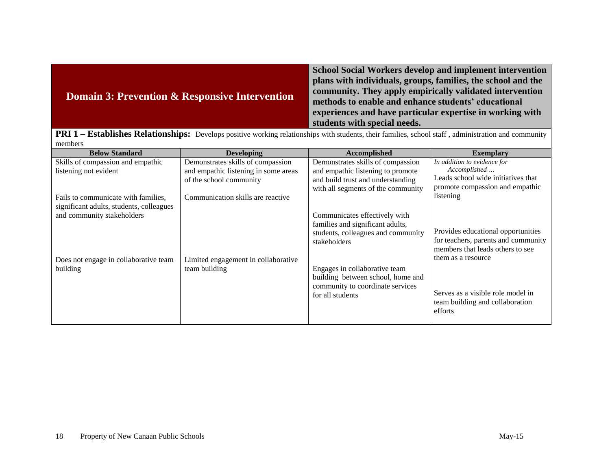| Domain 3: Prevention & Responsive Intervention | <b>School Social Workers develop and implement intervention</b><br>plans with individuals, groups, families, the school and the<br>community. They apply empirically validated intervention<br>methods to enable and enhance students' educational<br>experiences and have particular expertise in working with<br>students with special needs. |
|------------------------------------------------|-------------------------------------------------------------------------------------------------------------------------------------------------------------------------------------------------------------------------------------------------------------------------------------------------------------------------------------------------|
| DDI 1                                          | Establishes Delationshipsy Develope negitive westing seletionships with students their families, school staff, administration and community                                                                                                                                                                                                     |

**PRI 1 – Establishes Relationships:** Develops positive working relationships with students, their families, school staff , administration and community members

| <b>Below Standard</b>                                                           | <b>Developing</b>                                                                                    | Accomplished                                                                                                               | <b>Exemplary</b>                                                                                                                    |
|---------------------------------------------------------------------------------|------------------------------------------------------------------------------------------------------|----------------------------------------------------------------------------------------------------------------------------|-------------------------------------------------------------------------------------------------------------------------------------|
| Skills of compassion and empathic<br>listening not evident                      | Demonstrates skills of compassion<br>and empathic listening in some areas<br>of the school community | Demonstrates skills of compassion<br>and empathic listening to promote<br>and build trust and understanding                | In addition to evidence for<br>Accomplished<br>Leads school wide initiatives that<br>promote compassion and empathic                |
| Fails to communicate with families.<br>significant adults, students, colleagues | Communication skills are reactive                                                                    | with all segments of the community                                                                                         | listening                                                                                                                           |
| and community stakeholders<br>Does not engage in collaborative team             | Limited engagement in collaborative                                                                  | Communicates effectively with<br>families and significant adults,<br>students, colleagues and community<br>stakeholders    | Provides educational opportunities<br>for teachers, parents and community<br>members that leads others to see<br>them as a resource |
| building                                                                        | team building                                                                                        | Engages in collaborative team<br>building between school, home and<br>community to coordinate services<br>for all students | Serves as a visible role model in<br>team building and collaboration<br>efforts                                                     |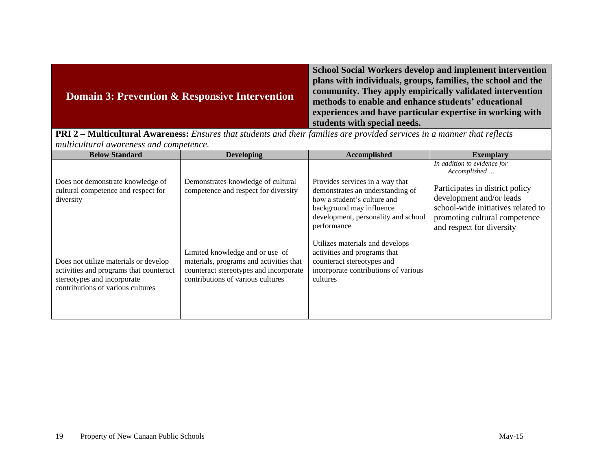|  | <b>Domain 3: Prevention &amp; Responsive Intervention</b> | <b>School Social Workers develop and implement intervention</b><br>plans with individuals, groups, families, the school and the<br>community. They apply empirically validated intervention<br>methods to enable and enhance students' educational<br>experiences and have particular expertise in working with<br>students with special needs. |
|--|-----------------------------------------------------------|-------------------------------------------------------------------------------------------------------------------------------------------------------------------------------------------------------------------------------------------------------------------------------------------------------------------------------------------------|
|--|-----------------------------------------------------------|-------------------------------------------------------------------------------------------------------------------------------------------------------------------------------------------------------------------------------------------------------------------------------------------------------------------------------------------------|

**PRI 2 – Multicultural Awareness:** *Ensures that students and their families are provided services in a manner that reflects multicultural awareness and competence.*

| <b>Below Standard</b>                                                                                                                                | <b>Developing</b>                                                                                                                                         | Accomplished                                                                                                                                                                         | <b>Exemplary</b>                                                                                                                                                |
|------------------------------------------------------------------------------------------------------------------------------------------------------|-----------------------------------------------------------------------------------------------------------------------------------------------------------|--------------------------------------------------------------------------------------------------------------------------------------------------------------------------------------|-----------------------------------------------------------------------------------------------------------------------------------------------------------------|
|                                                                                                                                                      |                                                                                                                                                           |                                                                                                                                                                                      | In addition to evidence for<br>Accomplished                                                                                                                     |
| Does not demonstrate knowledge of<br>cultural competence and respect for<br>diversity                                                                | Demonstrates knowledge of cultural<br>competence and respect for diversity                                                                                | Provides services in a way that<br>demonstrates an understanding of<br>how a student's culture and<br>background may influence<br>development, personality and school<br>performance | Participates in district policy<br>development and/or leads<br>school-wide initiatives related to<br>promoting cultural competence<br>and respect for diversity |
| Does not utilize materials or develop<br>activities and programs that counteract<br>stereotypes and incorporate<br>contributions of various cultures | Limited knowledge and or use of<br>materials, programs and activities that<br>counteract stereotypes and incorporate<br>contributions of various cultures | Utilizes materials and develops<br>activities and programs that<br>counteract stereotypes and<br>incorporate contributions of various<br>cultures                                    |                                                                                                                                                                 |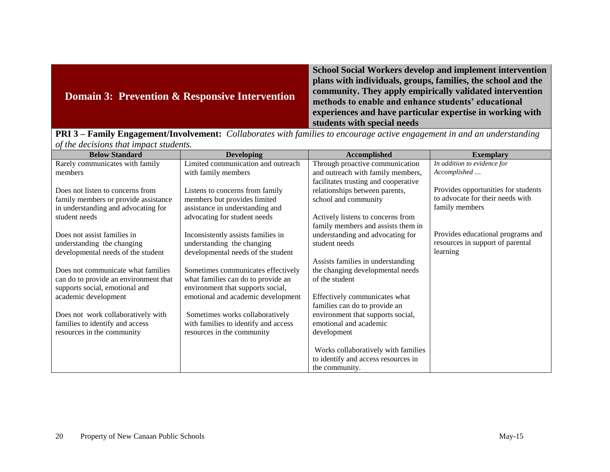| <b>Domain 3: Prevention &amp; Responsive Intervention</b> | <b>School Social Workers develop and implement intervention</b><br>plans with individuals, groups, families, the school and the<br>community. They apply empirically validated intervention<br>methods to enable and enhance students' educational<br>experiences and have particular expertise in working with<br>students with special needs |
|-----------------------------------------------------------|------------------------------------------------------------------------------------------------------------------------------------------------------------------------------------------------------------------------------------------------------------------------------------------------------------------------------------------------|
| <b>DDIA</b><br>$\sqrt{r}$ $\sqrt{r}$                      | $\overline{1}$ and $\overline{1}$ and $\overline{1}$ and $\overline{1}$ and $\overline{1}$ and $\overline{1}$ and $\overline{1}$ and $\overline{1}$ and $\overline{1}$ and $\overline{1}$ and $\overline{1}$ and $\overline{1}$ and $\overline{1}$ and $\overline{1}$ and $\overline{1}$ and $\overline{1}$ and $\overline{1}$ and             |

**PRI 3 – Family Engagement/Involvement:** *Collaborates with families to encourage active engagement in and an understanding of the decisions that impact students.*

| <b>Below Standard</b>                                                   | <b>Developing</b>                                                       | <b>Accomplished</b>                  | <b>Exemplary</b>                    |
|-------------------------------------------------------------------------|-------------------------------------------------------------------------|--------------------------------------|-------------------------------------|
| Rarely communicates with family                                         | Limited communication and outreach                                      | Through proactive communication      | In addition to evidence for         |
| members                                                                 | with family members                                                     | and outreach with family members,    | Accomplished                        |
|                                                                         |                                                                         | facilitates trusting and cooperative |                                     |
| Does not listen to concerns from                                        | Listens to concerns from family                                         | relationships between parents,       | Provides opportunities for students |
| family members or provide assistance                                    | members but provides limited                                            | school and community                 | to advocate for their needs with    |
| in understanding and advocating for                                     | assistance in understanding and                                         |                                      | family members                      |
| student needs                                                           | advocating for student needs                                            | Actively listens to concerns from    |                                     |
|                                                                         |                                                                         | family members and assists them in   |                                     |
| Does not assist families in                                             | Inconsistently assists families in                                      | understanding and advocating for     | Provides educational programs and   |
| understanding the changing                                              | understanding the changing                                              | student needs                        | resources in support of parental    |
| developmental needs of the student                                      | developmental needs of the student                                      |                                      | learning                            |
|                                                                         |                                                                         | Assists families in understanding    |                                     |
| Does not communicate what families                                      | Sometimes communicates effectively                                      | the changing developmental needs     |                                     |
| can do to provide an environment that<br>supports social, emotional and | what families can do to provide an<br>environment that supports social, | of the student                       |                                     |
| academic development                                                    | emotional and academic development                                      | Effectively communicates what        |                                     |
|                                                                         |                                                                         | families can do to provide an        |                                     |
| Does not work collaboratively with                                      | Sometimes works collaboratively                                         | environment that supports social,    |                                     |
| families to identify and access                                         | with families to identify and access                                    | emotional and academic               |                                     |
| resources in the community                                              | resources in the community                                              | development                          |                                     |
|                                                                         |                                                                         |                                      |                                     |
|                                                                         |                                                                         | Works collaboratively with families  |                                     |
|                                                                         |                                                                         | to identify and access resources in  |                                     |
|                                                                         |                                                                         | the community.                       |                                     |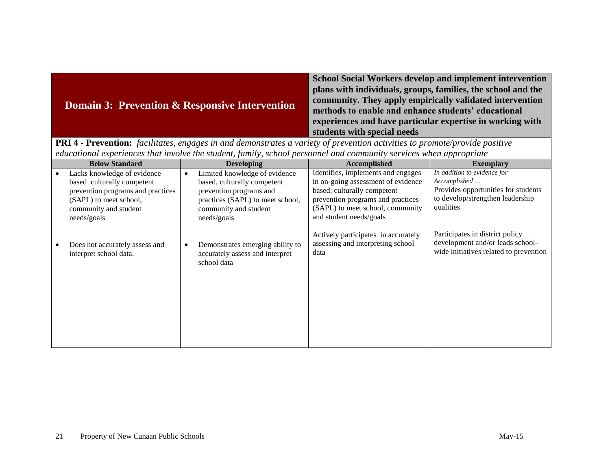|  | <b>Domain 3: Prevention &amp; Responsive Intervention</b> | <b>School Social Workers develop and implement intervention</b><br>plans with individuals, groups, families, the school and the<br>community. They apply empirically validated intervention<br>methods to enable and enhance students' educational<br>experiences and have particular expertise in working with<br>students with special needs |
|--|-----------------------------------------------------------|------------------------------------------------------------------------------------------------------------------------------------------------------------------------------------------------------------------------------------------------------------------------------------------------------------------------------------------------|
|--|-----------------------------------------------------------|------------------------------------------------------------------------------------------------------------------------------------------------------------------------------------------------------------------------------------------------------------------------------------------------------------------------------------------------|

**PRI 4 - Prevention:** *facilitates, engages in and demonstrates a variety of prevention activities to promote/provide positive educational experiences that involve the student, family, school personnel and community services when appropriate*

| <b>Below Standard</b>                                                                                                                                            |           | <b>Developing</b>                                                                                                                                                   | <b>Accomplished</b>                                                                                                                                                                                         | <b>Exemplary</b>                                                                                                                    |
|------------------------------------------------------------------------------------------------------------------------------------------------------------------|-----------|---------------------------------------------------------------------------------------------------------------------------------------------------------------------|-------------------------------------------------------------------------------------------------------------------------------------------------------------------------------------------------------------|-------------------------------------------------------------------------------------------------------------------------------------|
| Lacks knowledge of evidence<br>based culturally competent<br>prevention programs and practices<br>(SAPL) to meet school,<br>community and student<br>needs/goals | $\bullet$ | Limited knowledge of evidence<br>based, culturally competent<br>prevention programs and<br>practices (SAPL) to meet school,<br>community and student<br>needs/goals | Identifies, implements and engages<br>in on-going assessment of evidence<br>based, culturally competent<br>prevention programs and practices<br>(SAPL) to meet school, community<br>and student needs/goals | In addition to evidence for<br>Accomplished<br>Provides opportunities for students<br>to develop/strengthen leadership<br>qualities |
| Does not accurately assess and<br>interpret school data.                                                                                                         |           | Demonstrates emerging ability to<br>accurately assess and interpret<br>school data                                                                                  | Actively participates in accurately<br>assessing and interpreting school<br>data                                                                                                                            | Participates in district policy<br>development and/or leads school-<br>wide initiatives related to prevention                       |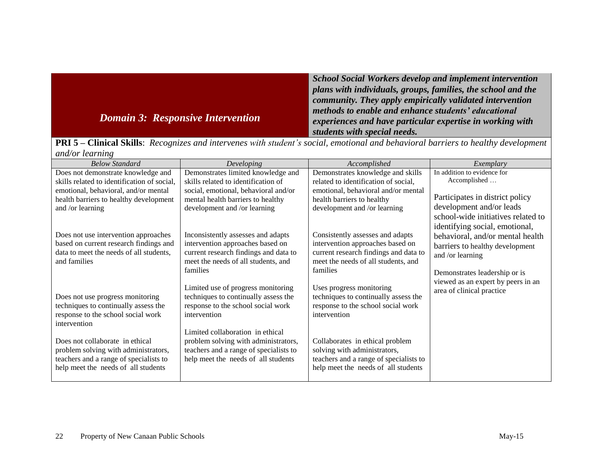|                                          | <b>School Social Workers develop and implement intervention</b> |
|------------------------------------------|-----------------------------------------------------------------|
|                                          | plans with individuals, groups, families, the school and the    |
|                                          | community. They apply empirically validated intervention        |
| <b>Domain 3: Responsive Intervention</b> | methods to enable and enhance students' educational             |
|                                          | experiences and have particular expertise in working with       |
|                                          | students with special needs.                                    |

|                 | <b>PRI 5 – Clinical Skills</b> : Recognizes and intervenes with student's social, emotional and behavioral barriers to healthy development |
|-----------------|--------------------------------------------------------------------------------------------------------------------------------------------|
| and/or learning |                                                                                                                                            |

| <b>Below Standard</b>                                                                                                                                    | Developing                                                                                                                                                         | Accomplished                                                                                                                                                     | Exemplary                                                                                                                           |
|----------------------------------------------------------------------------------------------------------------------------------------------------------|--------------------------------------------------------------------------------------------------------------------------------------------------------------------|------------------------------------------------------------------------------------------------------------------------------------------------------------------|-------------------------------------------------------------------------------------------------------------------------------------|
| Does not demonstrate knowledge and                                                                                                                       | Demonstrates limited knowledge and                                                                                                                                 | Demonstrates knowledge and skills                                                                                                                                | In addition to evidence for                                                                                                         |
| skills related to identification of social,                                                                                                              | skills related to identification of                                                                                                                                | related to identification of social,                                                                                                                             | Accomplished                                                                                                                        |
| emotional, behavioral, and/or mental<br>health barriers to healthy development<br>and /or learning                                                       | social, emotional, behavioral and/or<br>mental health barriers to healthy<br>development and /or learning                                                          | emotional, behavioral and/or mental<br>health barriers to healthy<br>development and /or learning                                                                | Participates in district policy<br>development and/or leads<br>school-wide initiatives related to<br>identifying social, emotional, |
| Does not use intervention approaches<br>based on current research findings and<br>data to meet the needs of all students,<br>and families                | Inconsistently assesses and adapts<br>intervention approaches based on<br>current research findings and data to<br>meet the needs of all students, and<br>families | Consistently assesses and adapts<br>intervention approaches based on<br>current research findings and data to<br>meet the needs of all students, and<br>families | behavioral, and/or mental health<br>barriers to healthy development<br>and /or learning<br>Demonstrates leadership or is            |
| Does not use progress monitoring<br>techniques to continually assess the<br>response to the school social work<br>intervention                           | Limited use of progress monitoring<br>techniques to continually assess the<br>response to the school social work<br>intervention                                   | Uses progress monitoring<br>techniques to continually assess the<br>response to the school social work<br>intervention                                           | viewed as an expert by peers in an<br>area of clinical practice                                                                     |
| Does not collaborate in ethical<br>problem solving with administrators,<br>teachers and a range of specialists to<br>help meet the needs of all students | Limited collaboration in ethical<br>problem solving with administrators,<br>teachers and a range of specialists to<br>help meet the needs of all students          | Collaborates in ethical problem<br>solving with administrators,<br>teachers and a range of specialists to<br>help meet the needs of all students                 |                                                                                                                                     |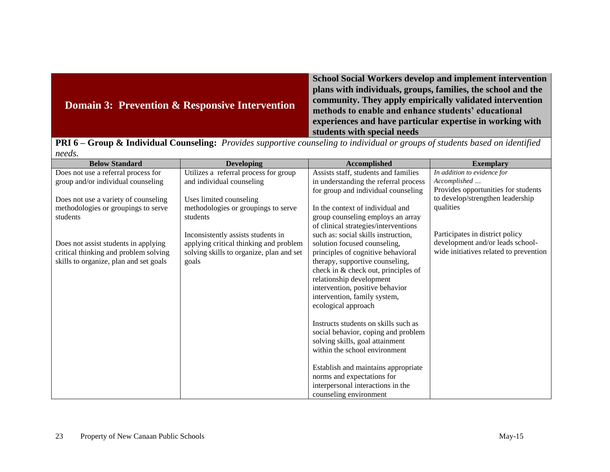| <b>Domain 3: Prevention &amp; Responsive Intervention</b> | <b>School Social Workers develop and implement intervention</b><br>plans with individuals, groups, families, the school and the<br>community. They apply empirically validated intervention<br>methods to enable and enhance students' educational<br>experiences and have particular expertise in working with<br>students with special needs |
|-----------------------------------------------------------|------------------------------------------------------------------------------------------------------------------------------------------------------------------------------------------------------------------------------------------------------------------------------------------------------------------------------------------------|
|-----------------------------------------------------------|------------------------------------------------------------------------------------------------------------------------------------------------------------------------------------------------------------------------------------------------------------------------------------------------------------------------------------------------|

**PRI 6 – Group & Individual Counseling:** *Provides supportive counseling to individual or groups of students based on identified needs.*

| <b>Below Standard</b>                  | <b>Developing</b>                        | <b>Accomplished</b>                   | <b>Exemplary</b>                       |
|----------------------------------------|------------------------------------------|---------------------------------------|----------------------------------------|
| Does not use a referral process for    | Utilizes a referral process for group    | Assists staff, students and families  | In addition to evidence for            |
| group and/or individual counseling     | and individual counseling                | in understanding the referral process | Accomplished                           |
|                                        |                                          | for group and individual counseling   | Provides opportunities for students    |
| Does not use a variety of counseling   | Uses limited counseling                  |                                       | to develop/strengthen leadership       |
| methodologies or groupings to serve    | methodologies or groupings to serve      | In the context of individual and      | qualities                              |
| students                               | students                                 | group counseling employs an array     |                                        |
|                                        |                                          | of clinical strategies/interventions  |                                        |
|                                        | Inconsistently assists students in       | such as: social skills instruction,   | Participates in district policy        |
| Does not assist students in applying   | applying critical thinking and problem   | solution focused counseling,          | development and/or leads school-       |
| critical thinking and problem solving  | solving skills to organize, plan and set | principles of cognitive behavioral    | wide initiatives related to prevention |
| skills to organize, plan and set goals | goals                                    | therapy, supportive counseling,       |                                        |
|                                        |                                          | check in & check out, principles of   |                                        |
|                                        |                                          | relationship development              |                                        |
|                                        |                                          | intervention, positive behavior       |                                        |
|                                        |                                          | intervention, family system,          |                                        |
|                                        |                                          | ecological approach                   |                                        |
|                                        |                                          |                                       |                                        |
|                                        |                                          | Instructs students on skills such as  |                                        |
|                                        |                                          | social behavior, coping and problem   |                                        |
|                                        |                                          | solving skills, goal attainment       |                                        |
|                                        |                                          | within the school environment         |                                        |
|                                        |                                          |                                       |                                        |
|                                        |                                          | Establish and maintains appropriate   |                                        |
|                                        |                                          | norms and expectations for            |                                        |
|                                        |                                          | interpersonal interactions in the     |                                        |
|                                        |                                          | counseling environment                |                                        |
|                                        |                                          |                                       |                                        |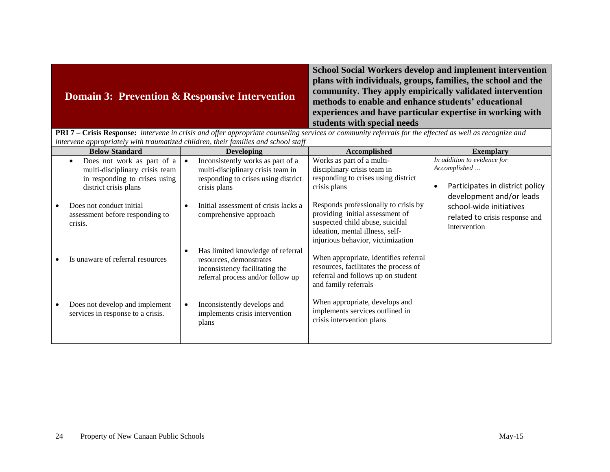| <b>Domain 3: Prevention &amp; Responsive Intervention</b>                                                                                               | <b>School Social Workers develop and implement intervention</b><br>plans with individuals, groups, families, the school and the<br>community. They apply empirically validated intervention<br>methods to enable and enhance students' educational<br>experiences and have particular expertise in working with<br>students with special needs |  |
|---------------------------------------------------------------------------------------------------------------------------------------------------------|------------------------------------------------------------------------------------------------------------------------------------------------------------------------------------------------------------------------------------------------------------------------------------------------------------------------------------------------|--|
| PRI 7 - Crisis Response: intervene in crisis and offer appropriate counseling services or community referrals for the effected as well as recognize and |                                                                                                                                                                                                                                                                                                                                                |  |
| intervene appropriately with traumatized children, their families and school staff                                                                      |                                                                                                                                                                                                                                                                                                                                                |  |

| ниет сене арргоргиисту тип пишниндей спиштен, тесп јишниез ини зеноот зипј<br><b>Below Standard</b> |           | <b>Developing</b>                    | <b>Accomplished</b>                   | <b>Exemplary</b>                             |
|-----------------------------------------------------------------------------------------------------|-----------|--------------------------------------|---------------------------------------|----------------------------------------------|
|                                                                                                     |           |                                      |                                       |                                              |
| Does not work as part of a                                                                          |           | Inconsistently works as part of a    | Works as part of a multi-             | In addition to evidence for                  |
| multi-disciplinary crisis team                                                                      |           | multi-disciplinary crisis team in    | disciplinary crisis team in           | Accomplished                                 |
| in responding to crises using                                                                       |           | responding to crises using district  | responding to crises using district   |                                              |
| district crisis plans                                                                               |           | crisis plans                         | crisis plans                          | Participates in district policy<br>$\bullet$ |
|                                                                                                     |           |                                      |                                       | development and/or leads                     |
| Does not conduct initial                                                                            |           | Initial assessment of crisis lacks a | Responds professionally to crisis by  |                                              |
|                                                                                                     |           |                                      | providing initial assessment of       | school-wide initiatives                      |
| assessment before responding to                                                                     |           | comprehensive approach               | suspected child abuse, suicidal       | related to crisis response and               |
| crisis.                                                                                             |           |                                      |                                       | intervention                                 |
|                                                                                                     |           |                                      | ideation, mental illness, self-       |                                              |
|                                                                                                     |           |                                      | injurious behavior, victimization     |                                              |
|                                                                                                     |           | Has limited knowledge of referral    |                                       |                                              |
| Is unaware of referral resources                                                                    |           | resources, demonstrates              | When appropriate, identifies referral |                                              |
|                                                                                                     |           | inconsistency facilitating the       | resources, facilitates the process of |                                              |
|                                                                                                     |           | referral process and/or follow up    | referral and follows up on student    |                                              |
|                                                                                                     |           |                                      | and family referrals                  |                                              |
|                                                                                                     |           |                                      |                                       |                                              |
|                                                                                                     |           |                                      | When appropriate, develops and        |                                              |
| Does not develop and implement                                                                      | $\bullet$ | Inconsistently develops and          | implements services outlined in       |                                              |
| services in response to a crisis.                                                                   |           | implements crisis intervention       |                                       |                                              |
|                                                                                                     |           | plans                                | crisis intervention plans             |                                              |
|                                                                                                     |           |                                      |                                       |                                              |
|                                                                                                     |           |                                      |                                       |                                              |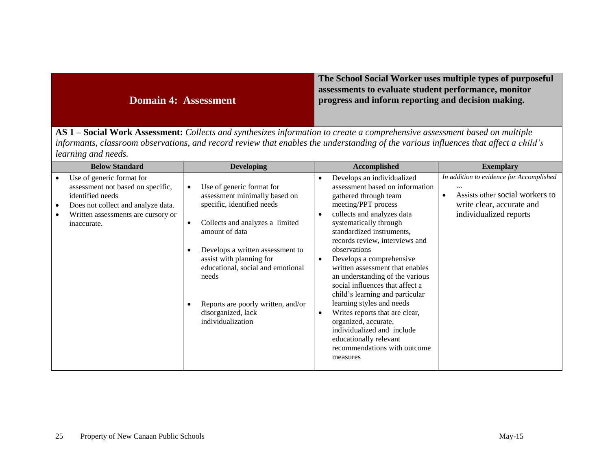### **Domain 4: Assessment**

**The School Social Worker uses multiple types of purposeful assessments to evaluate student performance, monitor progress and inform reporting and decision making.**

**AS 1 – Social Work Assessment:** *Collects and synthesizes information to create a comprehensive assessment based on multiple informants, classroom observations, and record review that enables the understanding of the various influences that affect a child's learning and needs.* 

| <b>Below Standard</b>                                                                                                                                                                                                | <b>Developing</b>                                                                                                                                                                                                                                                                                                                                                                   | Accomplished                                                                                                                                                                                                                                                                                                                                                                                                                                                                                                                                                                                                                  | <b>Exemplary</b>                                                                                                                                |
|----------------------------------------------------------------------------------------------------------------------------------------------------------------------------------------------------------------------|-------------------------------------------------------------------------------------------------------------------------------------------------------------------------------------------------------------------------------------------------------------------------------------------------------------------------------------------------------------------------------------|-------------------------------------------------------------------------------------------------------------------------------------------------------------------------------------------------------------------------------------------------------------------------------------------------------------------------------------------------------------------------------------------------------------------------------------------------------------------------------------------------------------------------------------------------------------------------------------------------------------------------------|-------------------------------------------------------------------------------------------------------------------------------------------------|
| Use of generic format for<br>$\bullet$<br>assessment not based on specific,<br>identified needs<br>Does not collect and analyze data.<br>$\bullet$<br>Written assessments are cursory or<br>$\bullet$<br>inaccurate. | Use of generic format for<br>$\bullet$<br>assessment minimally based on<br>specific, identified needs<br>Collects and analyzes a limited<br>$\bullet$<br>amount of data<br>Develops a written assessment to<br>$\bullet$<br>assist with planning for<br>educational, social and emotional<br>needs<br>Reports are poorly written, and/or<br>disorganized, lack<br>individualization | Develops an individualized<br>٠<br>assessment based on information<br>gathered through team<br>meeting/PPT process<br>collects and analyzes data<br>systematically through<br>standardized instruments,<br>records review, interviews and<br>observations<br>Develops a comprehensive<br>written assessment that enables<br>an understanding of the various<br>social influences that affect a<br>child's learning and particular<br>learning styles and needs<br>Writes reports that are clear,<br>$\bullet$<br>organized, accurate,<br>individualized and include<br>educationally relevant<br>recommendations with outcome | In addition to evidence for Accomplished<br>Assists other social workers to<br>$\bullet$<br>write clear, accurate and<br>individualized reports |
|                                                                                                                                                                                                                      |                                                                                                                                                                                                                                                                                                                                                                                     | measures                                                                                                                                                                                                                                                                                                                                                                                                                                                                                                                                                                                                                      |                                                                                                                                                 |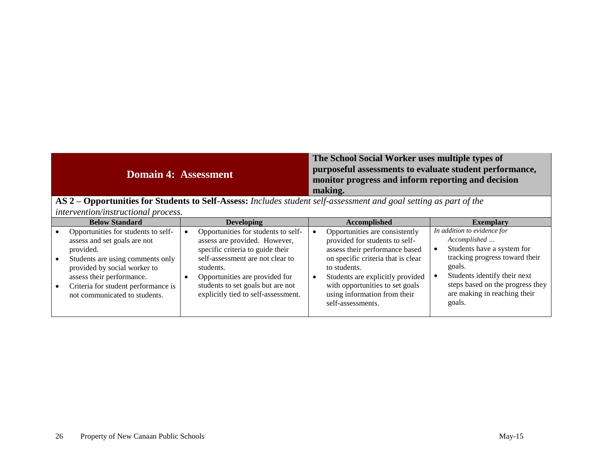## **Domain 4: Assessment**

#### **The School Social Worker uses multiple types of purposeful assessments to evaluate student performance, monitor progress and inform reporting and decision making.**

**AS 2 – Opportunities for Students to Self-Assess:** *Includes student self-assessment and goal setting as part of the intervention/instructional process.*

| <b>Below Standard</b>                                                                                                                                                                                                                                     |  | <b>Developing</b>                                                                                                                                                                                                                                                       |  | <b>Accomplished</b>                                                                                                                                                                                                                                                                  | <b>Exemplary</b>                                                                                                                                                                                                                    |
|-----------------------------------------------------------------------------------------------------------------------------------------------------------------------------------------------------------------------------------------------------------|--|-------------------------------------------------------------------------------------------------------------------------------------------------------------------------------------------------------------------------------------------------------------------------|--|--------------------------------------------------------------------------------------------------------------------------------------------------------------------------------------------------------------------------------------------------------------------------------------|-------------------------------------------------------------------------------------------------------------------------------------------------------------------------------------------------------------------------------------|
| Opportunities for students to self-<br>assess and set goals are not<br>provided.<br>Students are using comments only<br>provided by social worker to<br>assess their performance.<br>Criteria for student performance is<br>not communicated to students. |  | Opportunities for students to self-<br>assess are provided. However,<br>specific criteria to guide their<br>self-assessment are not clear to<br>students.<br>Opportunities are provided for<br>students to set goals but are not<br>explicitly tied to self-assessment. |  | Opportunities are consistently<br>provided for students to self-<br>assess their performance based<br>on specific criteria that is clear<br>to students.<br>Students are explicitly provided<br>with opportunities to set goals<br>using information from their<br>self-assessments. | In addition to evidence for<br>Accomplished<br>Students have a system for<br>tracking progress toward their<br>goals.<br>Students identify their next<br>steps based on the progress they<br>are making in reaching their<br>goals. |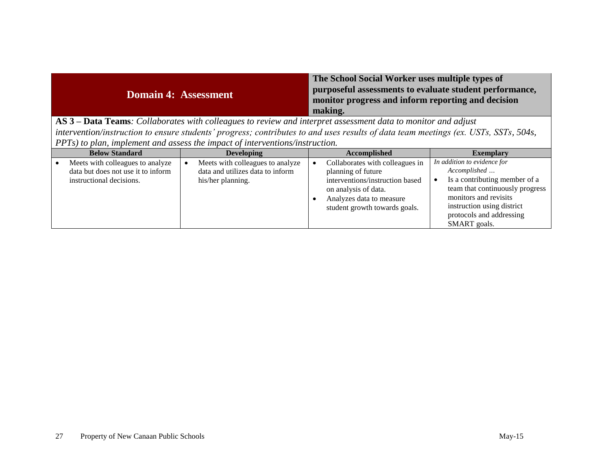| <b>Domain 4: Assessment</b>      | The School Social Worker uses multiple types of<br>purposeful assessments to evaluate student performance,<br>monitor progress and inform reporting and decision<br>making. |
|----------------------------------|-----------------------------------------------------------------------------------------------------------------------------------------------------------------------------|
| $-11$<br>$\sim$<br>$\sim$ $\sim$ |                                                                                                                                                                             |

**AS 3 – Data Teams***: Collaborates with colleagues to review and interpret assessment data to monitor and adjust intervention/instruction to ensure students' progress; contributes to and uses results of data team meetings (ex. USTs, SSTs, 504s, PPTs) to plan, implement and assess the impact of interventions/instruction.*

| <b>Below Standard</b>                                                                              | <b>Developing</b>                                                                         | Accomplished<br><b>Exemplary</b>                                                                                                                                                                                                                                                                                                                                                                    |  |
|----------------------------------------------------------------------------------------------------|-------------------------------------------------------------------------------------------|-----------------------------------------------------------------------------------------------------------------------------------------------------------------------------------------------------------------------------------------------------------------------------------------------------------------------------------------------------------------------------------------------------|--|
| Meets with colleagues to analyze<br>data but does not use it to inform<br>instructional decisions. | Meets with colleagues to analyze<br>data and utilizes data to inform<br>his/her planning. | In addition to evidence for<br>Collaborates with colleagues in<br>Accomplished<br>planning of future<br>Is a contributing member of a<br>interventions/instruction based<br>team that continuously progress<br>on analysis of data.<br>monitors and revisits<br>Analyzes data to measure<br>instruction using district<br>student growth towards goals.<br>protocols and addressing<br>SMART goals. |  |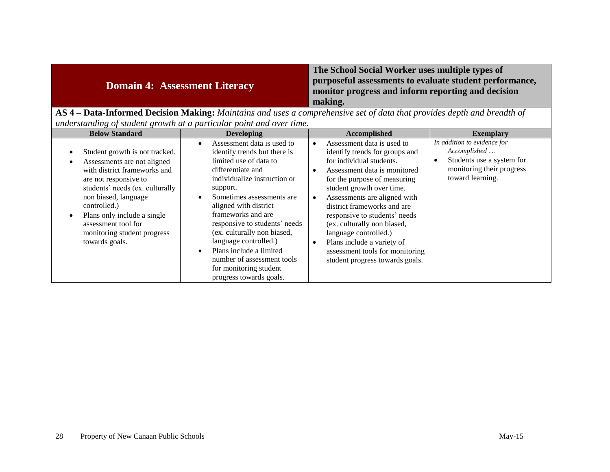| <b>Domain 4: Assessment Literacy</b>                                                                                 | The School Social Worker uses multiple types of<br>purposeful assessments to evaluate student performance,<br>monitor progress and inform reporting and decision<br>making. |  |
|----------------------------------------------------------------------------------------------------------------------|-----------------------------------------------------------------------------------------------------------------------------------------------------------------------------|--|
| ASA Dote-Informed Decision Moking: Maintains and uses a comprehensive set of data that provides depth and breadth of |                                                                                                                                                                             |  |

**AS 4 – Data-Informed Decision Making:** *Maintains and uses a comprehensive set of data that provides depth and breadth of understanding of student growth at a particular point and over time.*

| <b>Below Standard</b>                                                                                                                                                                                                                                                                                                                           | <b>Developing</b>                                                                                                                                                                                                                                                                                                                                                                                                                         | Accomplished                                                                                                                                                                                                                                                                                                                                                                                                                                      | <b>Exemplary</b>                                                                                                               |
|-------------------------------------------------------------------------------------------------------------------------------------------------------------------------------------------------------------------------------------------------------------------------------------------------------------------------------------------------|-------------------------------------------------------------------------------------------------------------------------------------------------------------------------------------------------------------------------------------------------------------------------------------------------------------------------------------------------------------------------------------------------------------------------------------------|---------------------------------------------------------------------------------------------------------------------------------------------------------------------------------------------------------------------------------------------------------------------------------------------------------------------------------------------------------------------------------------------------------------------------------------------------|--------------------------------------------------------------------------------------------------------------------------------|
| Student growth is not tracked.<br>$\bullet$<br>Assessments are not aligned<br>$\bullet$<br>with district frameworks and<br>are not responsive to<br>students' needs (ex. culturally<br>non biased, language<br>controlled.)<br>Plans only include a single<br>$\bullet$<br>assessment tool for<br>monitoring student progress<br>towards goals. | Assessment data is used to<br>identify trends but there is<br>limited use of data to<br>differentiate and<br>individualize instruction or<br>support.<br>Sometimes assessments are.<br>aligned with district<br>frameworks and are<br>responsive to students' needs<br>(ex. culturally non biased,<br>language controlled.)<br>Plans include a limited<br>number of assessment tools<br>for monitoring student<br>progress towards goals. | Assessment data is used to<br>identify trends for groups and<br>for individual students.<br>Assessment data is monitored<br>for the purpose of measuring<br>student growth over time.<br>Assessments are aligned with<br>district frameworks and are<br>responsive to students' needs<br>(ex. culturally non biased,<br>language controlled.)<br>Plans include a variety of<br>assessment tools for monitoring<br>student progress towards goals. | In addition to evidence for<br>Accomplished<br>Students use a system for<br>٠<br>monitoring their progress<br>toward learning. |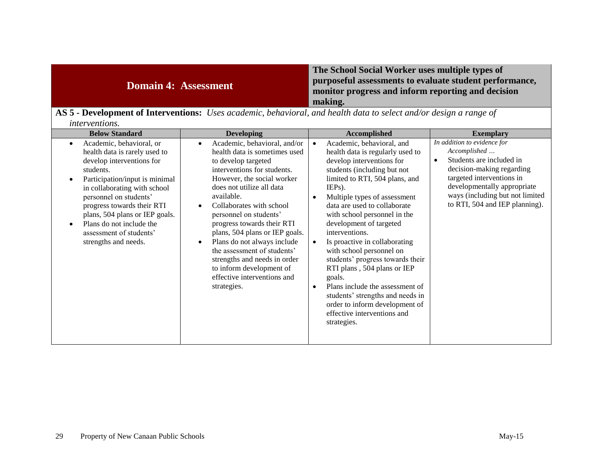| <b>Domain 4: Assessment</b>                                                                                           | The School Social Worker uses multiple types of<br>purposeful assessments to evaluate student performance,<br>monitor progress and inform reporting and decision<br>making. |
|-----------------------------------------------------------------------------------------------------------------------|-----------------------------------------------------------------------------------------------------------------------------------------------------------------------------|
| $\Lambda$ C.E. Development of Interventional Uses and with holowing with added to a last on $J/\sim J$ is a non-order |                                                                                                                                                                             |

| AS 5 - Development of Interventions: Uses academic, behavioral, and health data to select and/or design a range of |  |  |
|--------------------------------------------------------------------------------------------------------------------|--|--|
| <i>interventions.</i>                                                                                              |  |  |

| <b>Below Standard</b>                                                                                                                                                                                                                                                                                                                               | <b>Developing</b>                                                                                                                                                                                                                                                                                                                                                                                                                                                                          | <b>Accomplished</b>                                                                                                                                                                                                                                                                                                                                                                                                                                                                                                                                                                                                                 | <b>Exemplary</b>                                                                                                                                                                                                                                   |
|-----------------------------------------------------------------------------------------------------------------------------------------------------------------------------------------------------------------------------------------------------------------------------------------------------------------------------------------------------|--------------------------------------------------------------------------------------------------------------------------------------------------------------------------------------------------------------------------------------------------------------------------------------------------------------------------------------------------------------------------------------------------------------------------------------------------------------------------------------------|-------------------------------------------------------------------------------------------------------------------------------------------------------------------------------------------------------------------------------------------------------------------------------------------------------------------------------------------------------------------------------------------------------------------------------------------------------------------------------------------------------------------------------------------------------------------------------------------------------------------------------------|----------------------------------------------------------------------------------------------------------------------------------------------------------------------------------------------------------------------------------------------------|
| Academic, behavioral, or<br>٠<br>health data is rarely used to<br>develop interventions for<br>students.<br>Participation/input is minimal<br>in collaborating with school<br>personnel on students'<br>progress towards their RTI<br>plans, 504 plans or IEP goals.<br>Plans do not include the<br>assessment of students'<br>strengths and needs. | Academic, behavioral, and/or<br>health data is sometimes used<br>to develop targeted<br>interventions for students.<br>However, the social worker<br>does not utilize all data<br>available.<br>Collaborates with school<br>personnel on students'<br>progress towards their RTI<br>plans, 504 plans or IEP goals.<br>Plans do not always include<br>the assessment of students'<br>strengths and needs in order<br>to inform development of<br>effective interventions and<br>strategies. | Academic, behavioral, and<br>$\bullet$<br>health data is regularly used to<br>develop interventions for<br>students (including but not<br>limited to RTI, 504 plans, and<br>$IEPs$ ).<br>Multiple types of assessment<br>data are used to collaborate<br>with school personnel in the<br>development of targeted<br>interventions.<br>Is proactive in collaborating<br>with school personnel on<br>students' progress towards their<br>RTI plans, 504 plans or IEP<br>goals.<br>Plans include the assessment of<br>students' strengths and needs in<br>order to inform development of<br>effective interventions and<br>strategies. | In addition to evidence for<br>Accomplished<br>Students are included in<br>$\bullet$<br>decision-making regarding<br>targeted interventions in<br>developmentally appropriate<br>ways (including but not limited<br>to RTI, 504 and IEP planning). |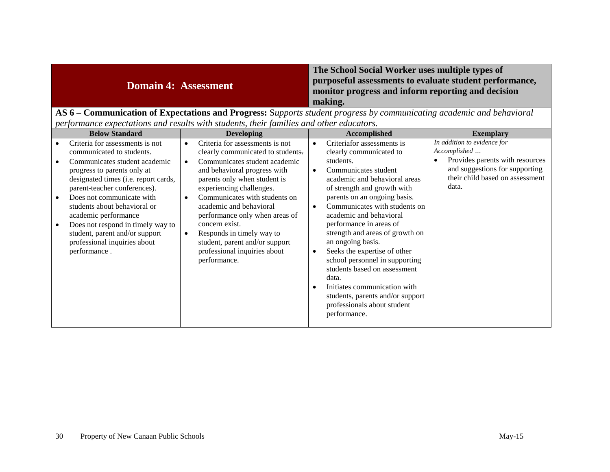| <b>Domain 4: Assessment</b>                                                                                                      | The School Social Worker uses multiple types of<br>purposeful assessments to evaluate student performance,<br>monitor progress and inform reporting and decision<br>making. |  |
|----------------------------------------------------------------------------------------------------------------------------------|-----------------------------------------------------------------------------------------------------------------------------------------------------------------------------|--|
| $\overline{ABC}$ Communication of Expectations and Dreamese Sympatic student presence by communicating assidents and leakenismal |                                                                                                                                                                             |  |

#### **AS 6 – Communication of Expectations and Progress:** S*upports student progress by communicating academic and behavioral performance expectations and results with students, their families and other educators.*

| <b>Below Standard</b>                                                                                                                                                                                                                                                                                                                            | <b>Developing</b>                                                                                                                                                                                                                                                                                                                                                                  | <b>Accomplished</b>                                                                                                                                                                                                                                                                                                                                                                                                                                                                                                                                                | <b>Exemplary</b>                                                                                              |
|--------------------------------------------------------------------------------------------------------------------------------------------------------------------------------------------------------------------------------------------------------------------------------------------------------------------------------------------------|------------------------------------------------------------------------------------------------------------------------------------------------------------------------------------------------------------------------------------------------------------------------------------------------------------------------------------------------------------------------------------|--------------------------------------------------------------------------------------------------------------------------------------------------------------------------------------------------------------------------------------------------------------------------------------------------------------------------------------------------------------------------------------------------------------------------------------------------------------------------------------------------------------------------------------------------------------------|---------------------------------------------------------------------------------------------------------------|
| Criteria for assessments is not<br>communicated to students.                                                                                                                                                                                                                                                                                     | Criteria for assessments is not<br>clearly communicated to students.                                                                                                                                                                                                                                                                                                               | Criteriafor assessments is<br>$\bullet$<br>clearly communicated to                                                                                                                                                                                                                                                                                                                                                                                                                                                                                                 | In addition to evidence for<br>Accomplished                                                                   |
| Communicates student academic<br>progress to parents only at<br>designated times (i.e. report cards,<br>parent-teacher conferences).<br>Does not communicate with<br>students about behavioral or<br>academic performance<br>Does not respond in timely way to<br>student, parent and/or support<br>professional inquiries about<br>performance. | Communicates student academic<br>$\bullet$<br>and behavioral progress with<br>parents only when student is<br>experiencing challenges.<br>Communicates with students on<br>academic and behavioral<br>performance only when areas of<br>concern exist.<br>Responds in timely way to<br>$\bullet$<br>student, parent and/or support<br>professional inquiries about<br>performance. | students.<br>Communicates student<br>$\bullet$<br>academic and behavioral areas<br>of strength and growth with<br>parents on an ongoing basis.<br>Communicates with students on<br>$\bullet$<br>academic and behavioral<br>performance in areas of<br>strength and areas of growth on<br>an ongoing basis.<br>Seeks the expertise of other<br>$\bullet$<br>school personnel in supporting<br>students based on assessment<br>data.<br>Initiates communication with<br>$\bullet$<br>students, parents and/or support<br>professionals about student<br>performance. | Provides parents with resources<br>and suggestions for supporting<br>their child based on assessment<br>data. |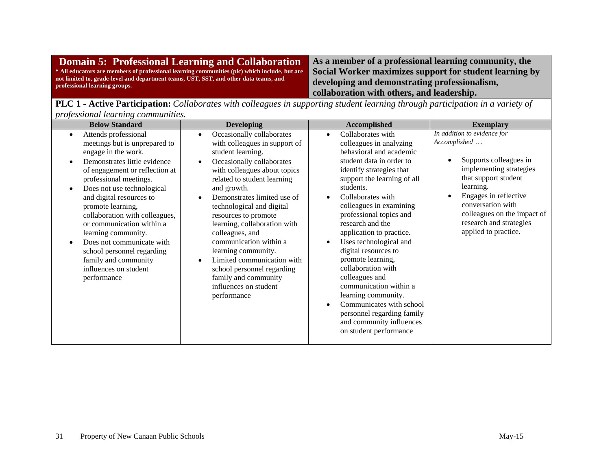| <b>Domain 5: Professional Learning and Collaboration</b>                                                               |  |
|------------------------------------------------------------------------------------------------------------------------|--|
| * All educators are members of professional learning communities (plc) which include, but are                          |  |
| not limited to, grade-level and department teams, UST, SST, and other data teams, and<br>professional learning groups. |  |

**As a member of a professional learning community, the Social Worker maximizes support for student learning by developing and demonstrating professionalism, collaboration with others, and leadership.**

**PLC 1 - Active Participation:** *Collaborates with colleagues in supporting student learning through participation in a variety of professional learning communities.*

| <b>Below Standard</b>                                                                                                                                                                                                                                                                                                                                                                                                                                                                              | <b>Developing</b>                                                                                                                                                                                                                                                                                                                                                                                                                                                                                              | Accomplished                                                                                                                                                                                                                                                                                                                                                                                                                                                                                                                                                                                        | <b>Exemplary</b>                                                                                                                                                                                                                                                      |  |
|----------------------------------------------------------------------------------------------------------------------------------------------------------------------------------------------------------------------------------------------------------------------------------------------------------------------------------------------------------------------------------------------------------------------------------------------------------------------------------------------------|----------------------------------------------------------------------------------------------------------------------------------------------------------------------------------------------------------------------------------------------------------------------------------------------------------------------------------------------------------------------------------------------------------------------------------------------------------------------------------------------------------------|-----------------------------------------------------------------------------------------------------------------------------------------------------------------------------------------------------------------------------------------------------------------------------------------------------------------------------------------------------------------------------------------------------------------------------------------------------------------------------------------------------------------------------------------------------------------------------------------------------|-----------------------------------------------------------------------------------------------------------------------------------------------------------------------------------------------------------------------------------------------------------------------|--|
| Attends professional<br>$\bullet$<br>meetings but is unprepared to<br>engage in the work.<br>Demonstrates little evidence<br>of engagement or reflection at<br>professional meetings.<br>Does not use technological<br>$\bullet$<br>and digital resources to<br>promote learning,<br>collaboration with colleagues,<br>or communication within a<br>learning community.<br>Does not communicate with<br>school personnel regarding<br>family and community<br>influences on student<br>performance | Occasionally collaborates<br>with colleagues in support of<br>student learning.<br>Occasionally collaborates<br>with colleagues about topics<br>related to student learning<br>and growth.<br>Demonstrates limited use of<br>technological and digital<br>resources to promote<br>learning, collaboration with<br>colleagues, and<br>communication within a<br>learning community.<br>Limited communication with<br>school personnel regarding<br>family and community<br>influences on student<br>performance | Collaborates with<br>$\bullet$<br>colleagues in analyzing<br>behavioral and academic<br>student data in order to<br>identify strategies that<br>support the learning of all<br>students.<br>Collaborates with<br>colleagues in examining<br>professional topics and<br>research and the<br>application to practice.<br>Uses technological and<br>digital resources to<br>promote learning,<br>collaboration with<br>colleagues and<br>communication within a<br>learning community.<br>Communicates with school<br>personnel regarding family<br>and community influences<br>on student performance | In addition to evidence for<br>Accomplished<br>Supports colleagues in<br>implementing strategies<br>that support student<br>learning.<br>Engages in reflective<br>conversation with<br>colleagues on the impact of<br>research and strategies<br>applied to practice. |  |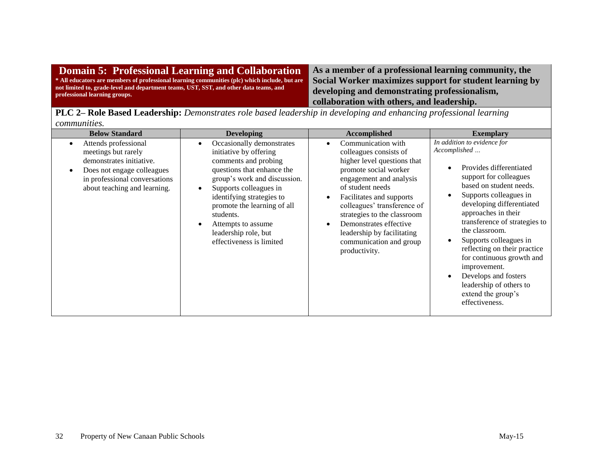| Domain 5: Professional Learning and Collaboration                                                                      | As a member of a professional learning community, the                                                    |  |
|------------------------------------------------------------------------------------------------------------------------|----------------------------------------------------------------------------------------------------------|--|
| * All educators are members of professional learning communities (plc) which include, but are                          | Social Worker maximizes support for student learning by<br>developing and demonstrating professionalism, |  |
| not limited to, grade-level and department teams, UST, SST, and other data teams, and<br>professional learning groups. |                                                                                                          |  |
|                                                                                                                        | collaboration with others, and leadership.                                                               |  |

**PLC 2– Role Based Leadership:** *Demonstrates role based leadership in developing and enhancing professional learning communities.*

| <b>Below Standard</b>                                                                                                                                                  | <b>Developing</b>                                                                                                                                                                                                                                                                                                      | <b>Accomplished</b>                                                                                                                                                                                                                                                                                                                               | <b>Exemplary</b>                                                                                                                                                                                                                                                                                                                                                                                                                                                            |  |
|------------------------------------------------------------------------------------------------------------------------------------------------------------------------|------------------------------------------------------------------------------------------------------------------------------------------------------------------------------------------------------------------------------------------------------------------------------------------------------------------------|---------------------------------------------------------------------------------------------------------------------------------------------------------------------------------------------------------------------------------------------------------------------------------------------------------------------------------------------------|-----------------------------------------------------------------------------------------------------------------------------------------------------------------------------------------------------------------------------------------------------------------------------------------------------------------------------------------------------------------------------------------------------------------------------------------------------------------------------|--|
| Attends professional<br>meetings but rarely<br>demonstrates initiative.<br>Does not engage colleagues<br>in professional conversations<br>about teaching and learning. | Occasionally demonstrates<br>initiative by offering<br>comments and probing<br>questions that enhance the<br>group's work and discussion.<br>Supports colleagues in<br>identifying strategies to<br>promote the learning of all<br>students.<br>Attempts to assume<br>leadership role, but<br>effectiveness is limited | Communication with<br>colleagues consists of<br>higher level questions that<br>promote social worker<br>engagement and analysis<br>of student needs<br>Facilitates and supports<br>colleagues' transference of<br>strategies to the classroom<br>Demonstrates effective<br>leadership by facilitating<br>communication and group<br>productivity. | In addition to evidence for<br>Accomplished<br>Provides differentiated<br>support for colleagues<br>based on student needs.<br>Supports colleagues in<br>developing differentiated<br>approaches in their<br>transference of strategies to<br>the classroom.<br>Supports colleagues in<br>reflecting on their practice<br>for continuous growth and<br>improvement.<br>Develops and fosters<br>$\bullet$<br>leadership of others to<br>extend the group's<br>effectiveness. |  |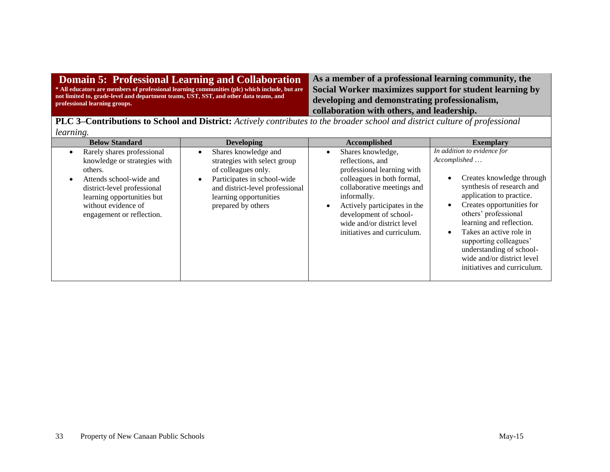#### **Domain 5: Professional Learning and Collaboration \* All educators are members of professional learning communities (plc) which include, but are not limited to, grade-level and department teams, UST, SST, and other data teams, and professional learning groups.**

**As a member of a professional learning community, the Social Worker maximizes support for student learning by developing and demonstrating professionalism, collaboration with others, and leadership.**

**PLC 3–Contributions to School and District:** *Actively contributes to the broader school and district culture of professional learning.*

| <b>Below Standard</b>                                                                                                                                                                                                          | <b>Developing</b>                                                                                                                                                                                          | Accomplished                                                                                                                                                                                                                                                          | <b>Exemplary</b>                                                                                                                                                                                                                                                                                                                                                                           |  |
|--------------------------------------------------------------------------------------------------------------------------------------------------------------------------------------------------------------------------------|------------------------------------------------------------------------------------------------------------------------------------------------------------------------------------------------------------|-----------------------------------------------------------------------------------------------------------------------------------------------------------------------------------------------------------------------------------------------------------------------|--------------------------------------------------------------------------------------------------------------------------------------------------------------------------------------------------------------------------------------------------------------------------------------------------------------------------------------------------------------------------------------------|--|
| Rarely shares professional<br>$\bullet$<br>knowledge or strategies with<br>others.<br>Attends school-wide and<br>district-level professional<br>learning opportunities but<br>without evidence of<br>engagement or reflection. | Shares knowledge and<br>$\bullet$<br>strategies with select group<br>of colleagues only.<br>Participates in school-wide<br>and district-level professional<br>learning opportunities<br>prepared by others | Shares knowledge,<br>reflections, and<br>professional learning with<br>colleagues in both formal,<br>collaborative meetings and<br>informally.<br>Actively participates in the<br>development of school-<br>wide and/or district level<br>initiatives and curriculum. | In addition to evidence for<br>Accomplished<br>Creates knowledge through<br>$\bullet$<br>synthesis of research and<br>application to practice.<br>Creates opportunities for<br>$\bullet$<br>others' professional<br>learning and reflection.<br>Takes an active role in<br>supporting colleagues'<br>understanding of school-<br>wide and/or district level<br>initiatives and curriculum. |  |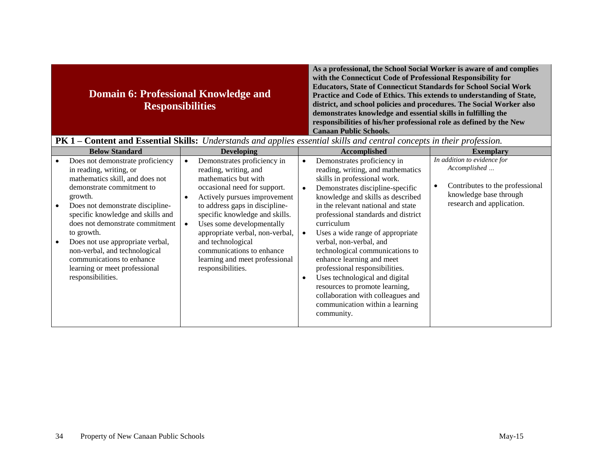|                                                                                                                                                                                                                                                                                                                                                                                                                                                                             | <b>Domain 6: Professional Knowledge and</b><br><b>Responsibilities</b>                                                                                                                                                                                                                                                                                                                                                                                | As a professional, the School Social Worker is aware of and complies<br>with the Connecticut Code of Professional Responsibility for<br><b>Educators, State of Connecticut Standards for School Social Work</b><br>Practice and Code of Ethics. This extends to understanding of State,<br>district, and school policies and procedures. The Social Worker also<br>demonstrates knowledge and essential skills in fulfilling the<br>responsibilities of his/her professional role as defined by the New<br><b>Canaan Public Schools.</b>                                                                                                                            |                                                                                                                                                                        |
|-----------------------------------------------------------------------------------------------------------------------------------------------------------------------------------------------------------------------------------------------------------------------------------------------------------------------------------------------------------------------------------------------------------------------------------------------------------------------------|-------------------------------------------------------------------------------------------------------------------------------------------------------------------------------------------------------------------------------------------------------------------------------------------------------------------------------------------------------------------------------------------------------------------------------------------------------|---------------------------------------------------------------------------------------------------------------------------------------------------------------------------------------------------------------------------------------------------------------------------------------------------------------------------------------------------------------------------------------------------------------------------------------------------------------------------------------------------------------------------------------------------------------------------------------------------------------------------------------------------------------------|------------------------------------------------------------------------------------------------------------------------------------------------------------------------|
|                                                                                                                                                                                                                                                                                                                                                                                                                                                                             |                                                                                                                                                                                                                                                                                                                                                                                                                                                       | PK 1 – Content and Essential Skills: Understands and applies essential skills and central concepts in their profession.                                                                                                                                                                                                                                                                                                                                                                                                                                                                                                                                             |                                                                                                                                                                        |
| <b>Below Standard</b><br>Does not demonstrate proficiency<br>in reading, writing, or<br>mathematics skill, and does not<br>demonstrate commitment to<br>growth.<br>Does not demonstrate discipline-<br>$\bullet$<br>specific knowledge and skills and<br>does not demonstrate commitment<br>to growth.<br>Does not use appropriate verbal,<br>$\bullet$<br>non-verbal, and technological<br>communications to enhance<br>learning or meet professional<br>responsibilities. | <b>Developing</b><br>Demonstrates proficiency in<br>$\bullet$<br>reading, writing, and<br>mathematics but with<br>occasional need for support.<br>Actively pursues improvement<br>$\bullet$<br>to address gaps in discipline-<br>specific knowledge and skills.<br>Uses some developmentally<br>$\bullet$<br>appropriate verbal, non-verbal,<br>and technological<br>communications to enhance<br>learning and meet professional<br>responsibilities. | Accomplished<br>Demonstrates proficiency in<br>$\bullet$<br>reading, writing, and mathematics<br>skills in professional work.<br>Demonstrates discipline-specific<br>$\bullet$<br>knowledge and skills as described<br>in the relevant national and state<br>professional standards and district<br>curriculum<br>Uses a wide range of appropriate<br>$\bullet$<br>verbal, non-verbal, and<br>technological communications to<br>enhance learning and meet<br>professional responsibilities.<br>Uses technological and digital<br>$\bullet$<br>resources to promote learning,<br>collaboration with colleagues and<br>communication within a learning<br>community. | <b>Exemplary</b><br>In addition to evidence for<br>Accomplished<br>Contributes to the professional<br>$\bullet$<br>knowledge base through<br>research and application. |